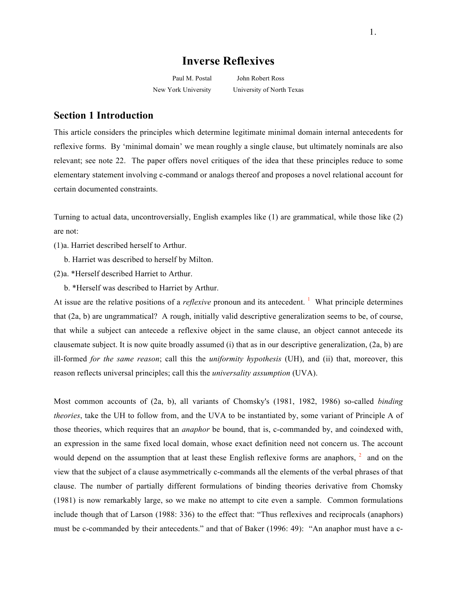# **Inverse Reflexives**

Paul M. Postal John Robert Ross New York University University of North Texas

# **Section 1 Introduction**

This article considers the principles which determine legitimate minimal domain internal antecedents for reflexive forms. By 'minimal domain' we mean roughly a single clause, but ultimately nominals are also relevant; see note 22. The paper offers novel critiques of the idea that these principles reduce to some elementary statement involving c-command or analogs thereof and proposes a novel relational account for certain documented constraints.

Turning to actual data, uncontroversially, English examples like (1) are grammatical, while those like (2) are not:

(1)a. Harriet described herself to Arthur.

b. Harriet was described to herself by Milton.

(2)a. \*Herself described Harriet to Arthur.

b. \*Herself was described to Harriet by Arthur.

At issue are the relative positions of a *reflexive* pronoun and its antecedent.<sup>1</sup> What principle determines that (2a, b) are ungrammatical? A rough, initially valid descriptive generalization seems to be, of course, that while a subject can antecede a reflexive object in the same clause, an object cannot antecede its clausemate subject. It is now quite broadly assumed (i) that as in our descriptive generalization, (2a, b) are ill-formed *for the same reason*; call this the *uniformity hypothesis* (UH), and (ii) that, moreover, this reason reflects universal principles; call this the *universality assumption* (UVA).

Most common accounts of (2a, b), all variants of Chomsky's (1981, 1982, 1986) so-called *binding theories*, take the UH to follow from, and the UVA to be instantiated by, some variant of Principle A of those theories, which requires that an *anaphor* be bound, that is, c-commanded by, and coindexed with, an expression in the same fixed local domain, whose exact definition need not concern us. The account would depend on the assumption that at least these English reflexive forms are anaphors,  $2\pi$  and on the view that the subject of a clause asymmetrically c-commands all the elements of the verbal phrases of that clause. The number of partially different formulations of binding theories derivative from Chomsky (1981) is now remarkably large, so we make no attempt to cite even a sample. Common formulations include though that of Larson (1988: 336) to the effect that: "Thus reflexives and reciprocals (anaphors) must be c-commanded by their antecedents." and that of Baker (1996: 49): "An anaphor must have a c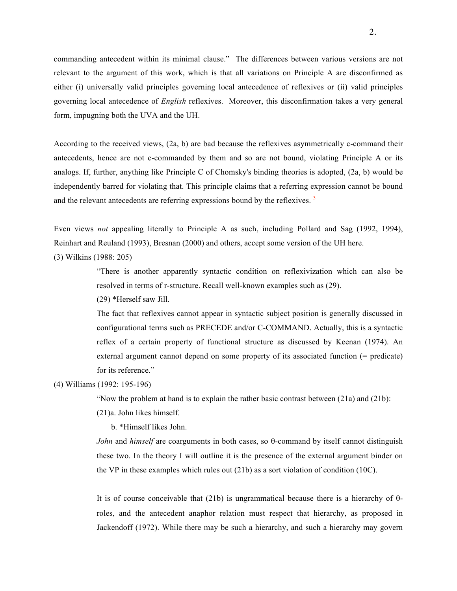commanding antecedent within its minimal clause." The differences between various versions are not relevant to the argument of this work, which is that all variations on Principle A are disconfirmed as either (i) universally valid principles governing local antecedence of reflexives or (ii) valid principles governing local antecedence of *English* reflexives. Moreover, this disconfirmation takes a very general form, impugning both the UVA and the UH.

According to the received views, (2a, b) are bad because the reflexives asymmetrically c-command their antecedents, hence are not c-commanded by them and so are not bound, violating Principle A or its analogs. If, further, anything like Principle C of Chomsky's binding theories is adopted, (2a, b) would be independently barred for violating that. This principle claims that a referring expression cannot be bound and the relevant antecedents are referring expressions bound by the reflexives.<sup>3</sup>

Even views *not* appealing literally to Principle A as such, including Pollard and Sag (1992, 1994), Reinhart and Reuland (1993), Bresnan (2000) and others, accept some version of the UH here.

(3) Wilkins (1988: 205)

"There is another apparently syntactic condition on reflexivization which can also be resolved in terms of r-structure. Recall well-known examples such as (29).

(29) \*Herself saw Jill.

The fact that reflexives cannot appear in syntactic subject position is generally discussed in configurational terms such as PRECEDE and/or C-COMMAND. Actually, this is a syntactic reflex of a certain property of functional structure as discussed by Keenan (1974). An external argument cannot depend on some property of its associated function (= predicate) for its reference."

### (4) Williams (1992: 195-196)

"Now the problem at hand is to explain the rather basic contrast between (21a) and (21b):

(21)a. John likes himself.

b. \*Himself likes John.

*John* and *himself* are coarguments in both cases, so θ-command by itself cannot distinguish these two. In the theory I will outline it is the presence of the external argument binder on the VP in these examples which rules out (21b) as a sort violation of condition (10C).

It is of course conceivable that  $(21b)$  is ungrammatical because there is a hierarchy of θroles, and the antecedent anaphor relation must respect that hierarchy, as proposed in Jackendoff (1972). While there may be such a hierarchy, and such a hierarchy may govern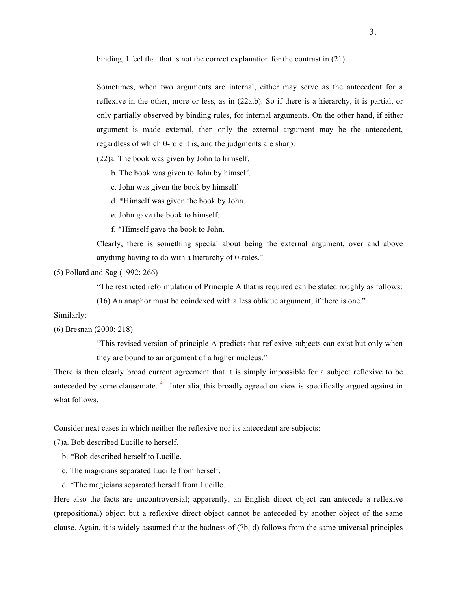binding, I feel that that is not the correct explanation for the contrast in (21).

Sometimes, when two arguments are internal, either may serve as the antecedent for a reflexive in the other, more or less, as in (22a,b). So if there is a hierarchy, it is partial, or only partially observed by binding rules, for internal arguments. On the other hand, if either argument is made external, then only the external argument may be the antecedent, regardless of which θ-role it is, and the judgments are sharp.

(22)a. The book was given by John to himself.

b. The book was given to John by himself.

c. John was given the book by himself.

d. \*Himself was given the book by John.

e. John gave the book to himself.

f. \*Himself gave the book to John.

Clearly, there is something special about being the external argument, over and above anything having to do with a hierarchy of θ-roles."

(5) Pollard and Sag (1992: 266)

"The restricted reformulation of Principle A that is required can be stated roughly as follows:

(16) An anaphor must be coindexed with a less oblique argument, if there is one."

Similarly:

(6) Bresnan (2000: 218)

"This revised version of principle A predicts that reflexive subjects can exist but only when they are bound to an argument of a higher nucleus."

There is then clearly broad current agreement that it is simply impossible for a subject reflexive to be anteceded by some clausemate.<sup>4</sup> Inter alia, this broadly agreed on view is specifically argued against in what follows.

Consider next cases in which neither the reflexive nor its antecedent are subjects:

(7)a. Bob described Lucille to herself.

b. \*Bob described herself to Lucille.

c. The magicians separated Lucille from herself.

d. \*The magicians separated herself from Lucille.

Here also the facts are uncontroversial; apparently, an English direct object can antecede a reflexive (prepositional) object but a reflexive direct object cannot be anteceded by another object of the same clause. Again, it is widely assumed that the badness of (7b, d) follows from the same universal principles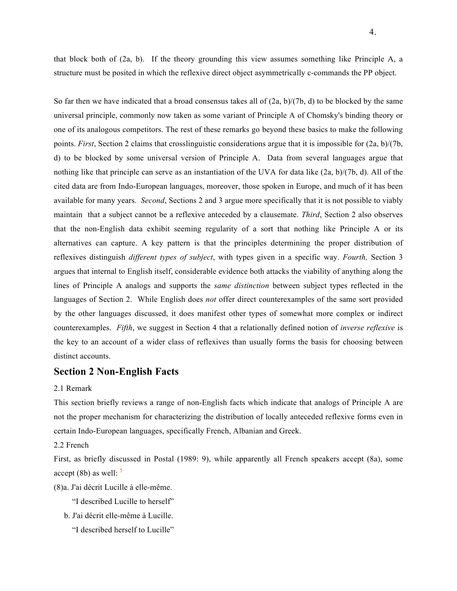that block both of (2a, b). If the theory grounding this view assumes something like Principle A, a structure must be posited in which the reflexive direct object asymmetrically c-commands the PP object.

So far then we have indicated that a broad consensus takes all of  $(2a, b)/(7b, d)$  to be blocked by the same universal principle, commonly now taken as some variant of Principle A of Chomsky's binding theory or one of its analogous competitors. The rest of these remarks go beyond these basics to make the following points. *First*, Section 2 claims that crosslinguistic considerations argue that it is impossible for (2a, b)/(7b, d) to be blocked by some universal version of Principle A. Data from several languages argue that nothing like that principle can serve as an instantiation of the UVA for data like (2a, b)/(7b, d). All of the cited data are from Indo-European languages, moreover, those spoken in Europe, and much of it has been available for many years. *Second*, Sections 2 and 3 argue more specifically that it is not possible to viably maintain that a subject cannot be a reflexive anteceded by a clausemate. *Third*, Section 2 also observes that the non-English data exhibit seeming regularity of a sort that nothing like Principle A or its alternatives can capture. A key pattern is that the principles determining the proper distribution of reflexives distinguish *different types of subject*, with types given in a specific way. *Fourth,* Section 3 argues that internal to English itself, considerable evidence both attacks the viability of anything along the lines of Principle A analogs and supports the *same distinction* between subject types reflected in the languages of Section 2. While English does *not* offer direct counterexamples of the same sort provided by the other languages discussed, it does manifest other types of somewhat more complex or indirect counterexamples. *Fifth*, we suggest in Section 4 that a relationally defined notion of *inverse reflexive* is the key to an account of a wider class of reflexives than usually forms the basis for choosing between distinct accounts.

### **Section 2 Non-English Facts**

### 2.1 Remark

This section briefly reviews a range of non-English facts which indicate that analogs of Principle A are not the proper mechanism for characterizing the distribution of locally anteceded reflexive forms even in certain Indo-European languages, specifically French, Albanian and Greek.

### 2.2 French

First, as briefly discussed in Postal (1989: 9), while apparently all French speakers accept (8a), some accept (8b) as well:  $\frac{5}{ }$ 

(8)a. J'ai décrit Lucille à elle-même.

- "I described Lucille to herself"
- b. J'ai décrit elle-même à Lucille.
	- "I described herself to Lucille"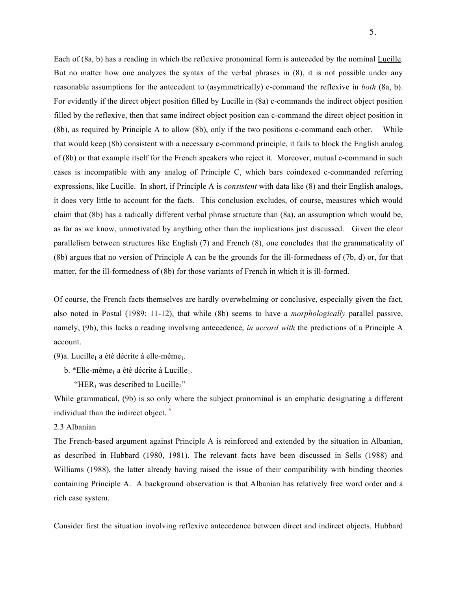Each of (8a, b) has a reading in which the reflexive pronominal form is anteceded by the nominal Lucille. But no matter how one analyzes the syntax of the verbal phrases in (8), it is not possible under any reasonable assumptions for the antecedent to (asymmetrically) c-command the reflexive in *both* (8a, b). For evidently if the direct object position filled by **Lucille** in (8a) c-commands the indirect object position filled by the reflexive, then that same indirect object position can c-command the direct object position in (8b), as required by Principle A to allow (8b), only if the two positions c-command each other. While that would keep (8b) consistent with a necessary c-command principle, it fails to block the English analog of (8b) or that example itself for the French speakers who reject it. Moreover, mutual c-command in such cases is incompatible with any analog of Principle C, which bars coindexed c-commanded referring expressions, like Lucille. In short, if Principle A is *consistent* with data like (8) and their English analogs, it does very little to account for the facts. This conclusion excludes, of course, measures which would claim that (8b) has a radically different verbal phrase structure than (8a), an assumption which would be, as far as we know, unmotivated by anything other than the implications just discussed. Given the clear parallelism between structures like English (7) and French (8), one concludes that the grammaticality of (8b) argues that no version of Principle A can be the grounds for the ill-formedness of (7b, d) or, for that matter, for the ill-formedness of (8b) for those variants of French in which it is ill-formed.

Of course, the French facts themselves are hardly overwhelming or conclusive, especially given the fact, also noted in Postal (1989: 11-12), that while (8b) seems to have a *morphologically* parallel passive, namely, (9b), this lacks a reading involving antecedence, *in accord with* the predictions of a Principle A account.

(9)a. Lucille<sub>1</sub> a été décrite à elle-même<sub>1</sub>.

- b. \*Elle-même<sub>1</sub> a été décrite à Lucille<sub>1</sub>.
	- "HER<sub>1</sub> was described to Lucille<sub>2</sub>"

While grammatical, (9b) is so only where the subject pronominal is an emphatic designating a different individual than the indirect object. <sup>6</sup>

2.3 Albanian

The French-based argument against Principle A is reinforced and extended by the situation in Albanian, as described in Hubbard (1980, 1981). The relevant facts have been discussed in Sells (1988) and Williams (1988), the latter already having raised the issue of their compatibility with binding theories containing Principle A. A background observation is that Albanian has relatively free word order and a rich case system.

Consider first the situation involving reflexive antecedence between direct and indirect objects. Hubbard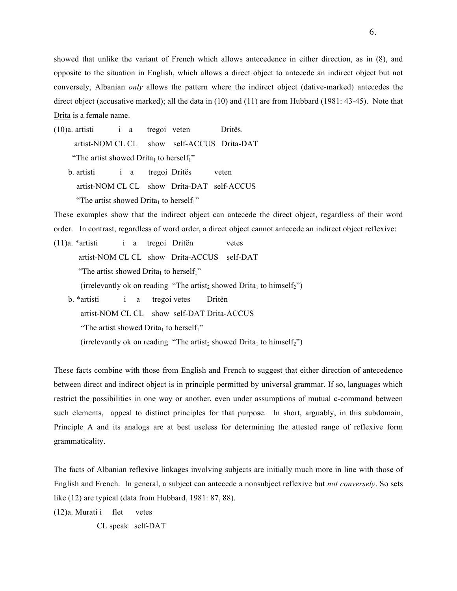showed that unlike the variant of French which allows antecedence in either direction, as in (8), and opposite to the situation in English, which allows a direct object to antecede an indirect object but not conversely, Albanian *only* allows the pattern where the indirect object (dative-marked) antecedes the direct object (accusative marked); all the data in (10) and (11) are from Hubbard (1981: 43-45). Note that Drita is a female name.

(10)a. artisti i a tregoi veten Dritës. artist-NOM CL CL show self-ACCUS Drita-DAT "The artist showed Drita<sub>1</sub> to herself<sub>1</sub>" b. artisti i a tregoi Dritës veten artist-NOM CL CL show Drita-DAT self-ACCUS

"The artist showed Drita<sub>1</sub> to herself<sub>1</sub>"

These examples show that the indirect object can antecede the direct object, regardless of their word order. In contrast, regardless of word order, a direct object cannot antecede an indirect object reflexive:

(11)a. \*artisti i a tregoi Dritën vetes artist-NOM CL CL show Drita-ACCUS self-DAT "The artist showed Drita<sub>1</sub> to herself<sub>1</sub>" (irrelevantly ok on reading "The artist<sub>2</sub> showed Drita<sub>1</sub> to himself<sub>2</sub>") b. \*artisti i a tregoi vetes Dritën artist-NOM CL CL show self-DAT Drita-ACCUS

"The artist showed Drita<sub>1</sub> to herself<sub>1</sub>" (irrelevantly ok on reading "The artist<sub>2</sub> showed Drita<sub>1</sub> to himself<sub>2</sub>")

These facts combine with those from English and French to suggest that either direction of antecedence between direct and indirect object is in principle permitted by universal grammar. If so, languages which restrict the possibilities in one way or another, even under assumptions of mutual c-command between such elements, appeal to distinct principles for that purpose. In short, arguably, in this subdomain, Principle A and its analogs are at best useless for determining the attested range of reflexive form grammaticality.

The facts of Albanian reflexive linkages involving subjects are initially much more in line with those of English and French. In general, a subject can antecede a nonsubject reflexive but *not conversely*. So sets like (12) are typical (data from Hubbard, 1981: 87, 88).

(12)a. Murati i flet vetes

CL speak self-DAT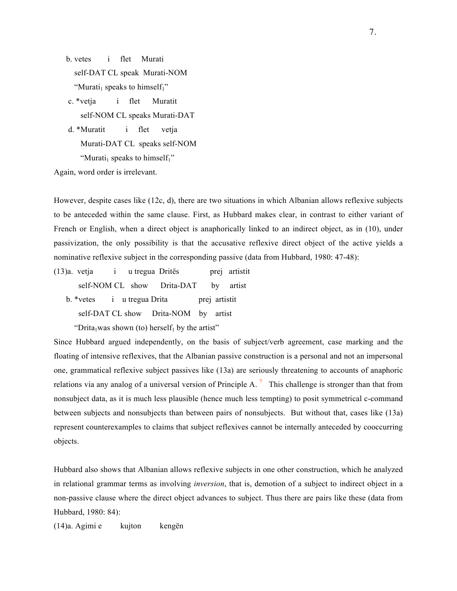b. vetes i flet Murati self-DAT CL speak Murati-NOM "Murati<sub>1</sub> speaks to himself<sub>1</sub>"

 c. \*vetja i flet Muratit self-NOM CL speaks Murati-DAT

 d. \*Muratit i flet vetja Murati-DAT CL speaks self-NOM "Murati<sub>1</sub> speaks to himself<sub>1</sub>"

Again, word order is irrelevant.

However, despite cases like (12c, d), there are two situations in which Albanian allows reflexive subjects to be anteceded within the same clause. First, as Hubbard makes clear, in contrast to either variant of French or English, when a direct object is anaphorically linked to an indirect object, as in (10), under passivization, the only possibility is that the accusative reflexive direct object of the active yields a nominative reflexive subject in the corresponding passive (data from Hubbard, 1980: 47-48):

(13)a. vetja i u tregua Dritës prej artistit self-NOM CL show Drita-DAT by artist b. \*vetes i u tregua Drita prej artistit self-DAT CL show Drita-NOM by artist

"Drita<sub>1</sub>was shown (to) herself<sub>1</sub> by the artist"

Since Hubbard argued independently, on the basis of subject/verb agreement, case marking and the floating of intensive reflexives, that the Albanian passive construction is a personal and not an impersonal one, grammatical reflexive subject passives like (13a) are seriously threatening to accounts of anaphoric relations via any analog of a universal version of Principle A.<sup>7</sup> This challenge is stronger than that from nonsubject data, as it is much less plausible (hence much less tempting) to posit symmetrical c-command between subjects and nonsubjects than between pairs of nonsubjects. But without that, cases like (13a) represent counterexamples to claims that subject reflexives cannot be internally anteceded by cooccurring objects.

Hubbard also shows that Albanian allows reflexive subjects in one other construction, which he analyzed in relational grammar terms as involving *inversion*, that is, demotion of a subject to indirect object in a non-passive clause where the direct object advances to subject. Thus there are pairs like these (data from Hubbard, 1980: 84):

(14)a. Agimi e kujton kengën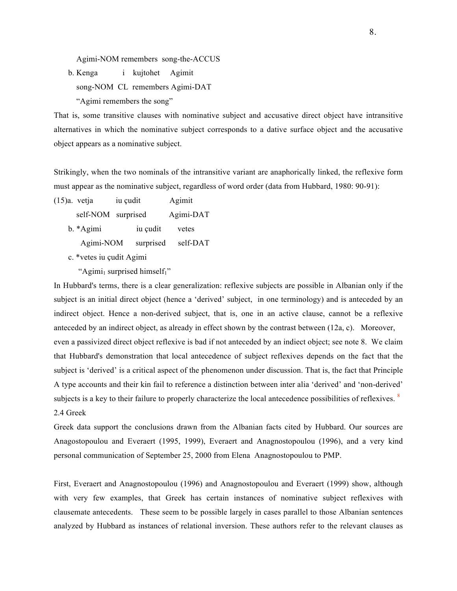Agimi-NOM remembers song-the-ACCUS

b. Kenga i kujtohet Agimit

song-NOM CL remembers Agimi-DAT

"Agimi remembers the song"

That is, some transitive clauses with nominative subject and accusative direct object have intransitive alternatives in which the nominative subject corresponds to a dative surface object and the accusative object appears as a nominative subject.

Strikingly, when the two nominals of the intransitive variant are anaphorically linked, the reflexive form must appear as the nominative subject, regardless of word order (data from Hubbard, 1980: 90-91):

(15)a. vetja iu çudit Agimit

self-NOM surprised Agimi-DAT

- b. \*Agimi iu çudit vetes
	- Agimi-NOM surprised self-DAT
- c. \*vetes iu çudit Agimi
	- "Agimi<sub>1</sub> surprised himself<sub>1</sub>"

In Hubbard's terms, there is a clear generalization: reflexive subjects are possible in Albanian only if the subject is an initial direct object (hence a 'derived' subject, in one terminology) and is anteceded by an indirect object. Hence a non-derived subject, that is, one in an active clause, cannot be a reflexive anteceded by an indirect object, as already in effect shown by the contrast between (12a, c). Moreover, even a passivized direct object reflexive is bad if not anteceded by an indiect object; see note 8. We claim that Hubbard's demonstration that local antecedence of subject reflexives depends on the fact that the subject is 'derived' is a critical aspect of the phenomenon under discussion. That is, the fact that Principle A type accounts and their kin fail to reference a distinction between inter alia 'derived' and 'non-derived' subjects is a key to their failure to properly characterize the local antecedence possibilities of reflexives. <sup>8</sup> 2.4 Greek

Greek data support the conclusions drawn from the Albanian facts cited by Hubbard. Our sources are Anagostopoulou and Everaert (1995, 1999), Everaert and Anagnostopoulou (1996), and a very kind personal communication of September 25, 2000 from Elena Anagnostopoulou to PMP.

First, Everaert and Anagnostopoulou (1996) and Anagnostopoulou and Everaert (1999) show, although with very few examples, that Greek has certain instances of nominative subject reflexives with clausemate antecedents. These seem to be possible largely in cases parallel to those Albanian sentences analyzed by Hubbard as instances of relational inversion. These authors refer to the relevant clauses as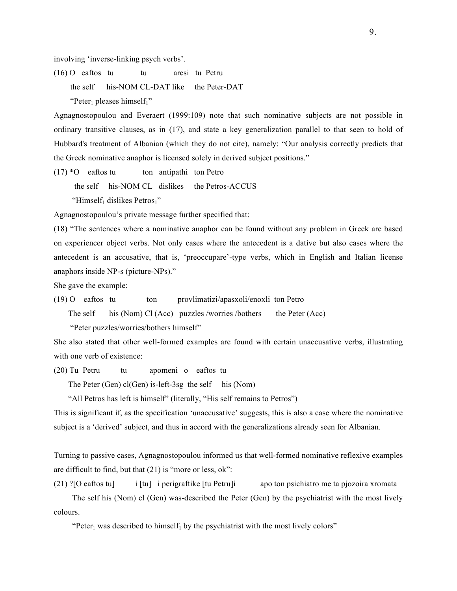involving 'inverse-linking psych verbs'.

(16) O eaftos tu tu aresi tu Petru the self his-NOM CL-DAT like the Peter-DAT "Peter<sub>1</sub> pleases himself<sub>1</sub>"

Agnagnostopoulou and Everaert (1999:109) note that such nominative subjects are not possible in ordinary transitive clauses, as in (17), and state a key generalization parallel to that seen to hold of Hubbard's treatment of Albanian (which they do not cite), namely: "Our analysis correctly predicts that the Greek nominative anaphor is licensed solely in derived subject positions."

 $(17) * O$  eaftos tu ton antipathi ton Petro the self his-NOM CL dislikes the Petros-ACCUS "Himself<sub>1</sub> dislikes Petros<sub>1</sub>"

Agnagnostopoulou's private message further specified that:

(18) "The sentences where a nominative anaphor can be found without any problem in Greek are based on experiencer object verbs. Not only cases where the antecedent is a dative but also cases where the antecedent is an accusative, that is, 'preoccupare'-type verbs, which in English and Italian license anaphors inside NP-s (picture-NPs)."

She gave the example:

(19) O eaftos tu ton provlimatizi/apasxoli/enoxli ton Petro

The self his (Nom) Cl (Acc) puzzles /worries /bothers the Peter (Acc)

"Peter puzzles/worries/bothers himself"

She also stated that other well-formed examples are found with certain unaccusative verbs, illustrating with one verb of existence:

(20) Tu Petru tu apomeni o eaftos tu

The Peter (Gen) cl(Gen) is-left-3sg the self his (Nom)

"All Petros has left is himself" (literally, "His self remains to Petros")

This is significant if, as the specification 'unaccusative' suggests, this is also a case where the nominative subject is a 'derived' subject, and thus in accord with the generalizations already seen for Albanian.

Turning to passive cases, Agnagnostopoulou informed us that well-formed nominative reflexive examples are difficult to find, but that (21) is "more or less, ok":

```
(21) ?[O eaftos tu] i [tu] i perigraftike [tu Petru]i apo ton psichiatro me ta pjozoira xromata
```
 The self his (Nom) cl (Gen) was-described the Peter (Gen) by the psychiatrist with the most lively colours.

"Peter<sub>1</sub> was described to himself<sub>1</sub> by the psychiatrist with the most lively colors"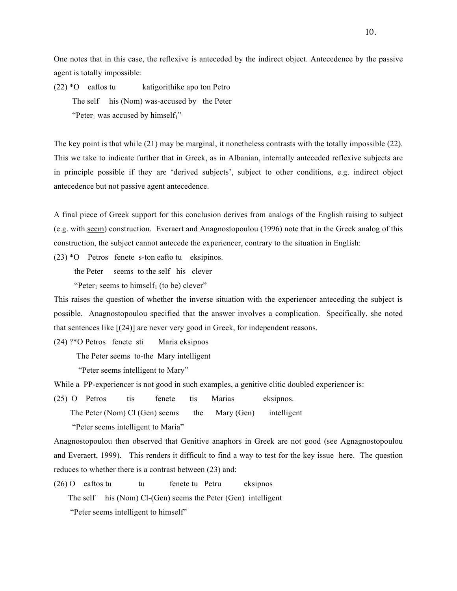One notes that in this case, the reflexive is anteceded by the indirect object. Antecedence by the passive agent is totally impossible:

(22) \*O eaftos tu katigorithike apo ton Petro The self his (Nom) was-accused by the Peter "Peter<sub>1</sub> was accused by himself<sub>1</sub>"

The key point is that while (21) may be marginal, it nonetheless contrasts with the totally impossible (22). This we take to indicate further that in Greek, as in Albanian, internally anteceded reflexive subjects are in principle possible if they are 'derived subjects', subject to other conditions, e.g. indirect object antecedence but not passive agent antecedence.

A final piece of Greek support for this conclusion derives from analogs of the English raising to subject (e.g. with seem) construction. Everaert and Anagnostopoulou (1996) note that in the Greek analog of this construction, the subject cannot antecede the experiencer, contrary to the situation in English:

(23) \*O Petros fenete s-ton eafto tu eksipinos.

the Peter seems to the self his clever

"Peter<sub>1</sub> seems to himself<sub>1</sub> (to be) clever"

This raises the question of whether the inverse situation with the experiencer anteceding the subject is possible. Anagnostopoulou specified that the answer involves a complication. Specifically, she noted that sentences like [(24)] are never very good in Greek, for independent reasons.

(24) ?\*O Petros fenete sti Maria eksipnos

The Peter seems to-the Mary intelligent

"Peter seems intelligent to Mary"

While a PP-experiencer is not good in such examples, a genitive clitic doubled experiencer is:

(25) O Petros tis fenete tis Marias eksipnos. The Peter (Nom) Cl (Gen) seems the Mary (Gen) intelligent "Peter seems intelligent to Maria"

Anagnostopoulou then observed that Genitive anaphors in Greek are not good (see Agnagnostopoulou and Everaert, 1999). This renders it difficult to find a way to test for the key issue here. The question reduces to whether there is a contrast between (23) and:

(26) O eaftos tu tu fenete tu Petru eksipnos

The self his (Nom) Cl-(Gen) seems the Peter (Gen) intelligent

"Peter seems intelligent to himself"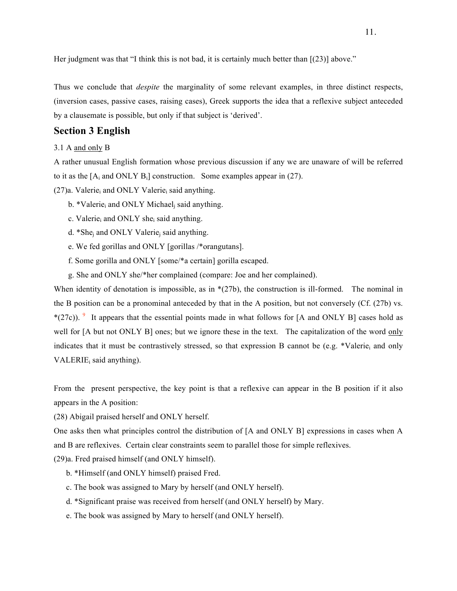Her judgment was that "I think this is not bad, it is certainly much better than  $[(23)]$  above."

Thus we conclude that *despite* the marginality of some relevant examples, in three distinct respects, (inversion cases, passive cases, raising cases), Greek supports the idea that a reflexive subject anteceded by a clausemate is possible, but only if that subject is 'derived'.

# **Section 3 English**

### 3.1 A and only B

A rather unusual English formation whose previous discussion if any we are unaware of will be referred to it as the  $[A_i$  and ONLY  $B_i]$  construction. Some examples appear in (27).

 $(27)a$ . Valerie<sub>i</sub> and ONLY Valerie<sub>i</sub> said anything.

- b. \*Valerie<sub>i</sub> and ONLY Michael<sub>i</sub> said anything.
- c. Valerie<sub>i</sub> and ONLY she<sub>i</sub> said anything.
- d. \*Shej and ONLY Valeriej said anything.
- e. We fed gorillas and ONLY [gorillas /\*orangutans].
- f. Some gorilla and ONLY [some/\*a certain] gorilla escaped.
- g. She and ONLY she/\*her complained (compare: Joe and her complained).

When identity of denotation is impossible, as in  $*(27b)$ , the construction is ill-formed. The nominal in the B position can be a pronominal anteceded by that in the A position, but not conversely (Cf. (27b) vs. \*(27c)). <sup>9</sup> It appears that the essential points made in what follows for [A and ONLY B] cases hold as well for [A but not ONLY B] ones; but we ignore these in the text. The capitalization of the word only indicates that it must be contrastively stressed, so that expression B cannot be  $(e.g. *Valueie<sub>i</sub>$  and only  $VALERIE<sub>i</sub>$  said anything).

From the present perspective, the key point is that a reflexive can appear in the B position if it also appears in the A position:

(28) Abigail praised herself and ONLY herself.

One asks then what principles control the distribution of [A and ONLY B] expressions in cases when A and B are reflexives. Certain clear constraints seem to parallel those for simple reflexives.

(29)a. Fred praised himself (and ONLY himself).

- b. \*Himself (and ONLY himself) praised Fred.
- c. The book was assigned to Mary by herself (and ONLY herself).
- d. \*Significant praise was received from herself (and ONLY herself) by Mary.
- e. The book was assigned by Mary to herself (and ONLY herself).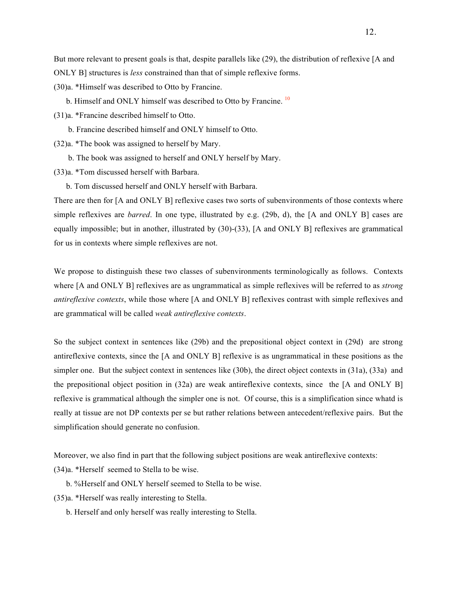But more relevant to present goals is that, despite parallels like (29), the distribution of reflexive [A and ONLY B] structures is *less* constrained than that of simple reflexive forms.

(30)a. \*Himself was described to Otto by Francine.

b. Himself and ONLY himself was described to Otto by Francine.<sup>10</sup>

(31)a. \*Francine described himself to Otto.

b. Francine described himself and ONLY himself to Otto.

(32)a. \*The book was assigned to herself by Mary.

b. The book was assigned to herself and ONLY herself by Mary.

(33)a. \*Tom discussed herself with Barbara.

b. Tom discussed herself and ONLY herself with Barbara.

There are then for [A and ONLY B] reflexive cases two sorts of subenvironments of those contexts where simple reflexives are *barred*. In one type, illustrated by e.g. (29b, d), the [A and ONLY B] cases are equally impossible; but in another, illustrated by (30)-(33), [A and ONLY B] reflexives are grammatical for us in contexts where simple reflexives are not.

We propose to distinguish these two classes of subenvironments terminologically as follows. Contexts where [A and ONLY B] reflexives are as ungrammatical as simple reflexives will be referred to as *strong antireflexive contexts*, while those where [A and ONLY B] reflexives contrast with simple reflexives and are grammatical will be called *weak antireflexive contexts*.

So the subject context in sentences like (29b) and the prepositional object context in (29d) are strong antireflexive contexts, since the [A and ONLY B] reflexive is as ungrammatical in these positions as the simpler one. But the subject context in sentences like (30b), the direct object contexts in (31a), (33a) and the prepositional object position in (32a) are weak antireflexive contexts, since the [A and ONLY B] reflexive is grammatical although the simpler one is not. Of course, this is a simplification since whatd is really at tissue are not DP contexts per se but rather relations between antecedent/reflexive pairs. But the simplification should generate no confusion.

Moreover, we also find in part that the following subject positions are weak antireflexive contexts:

(34)a. \*Herself seemed to Stella to be wise.

b. %Herself and ONLY herself seemed to Stella to be wise.

(35)a. \*Herself was really interesting to Stella.

b. Herself and only herself was really interesting to Stella.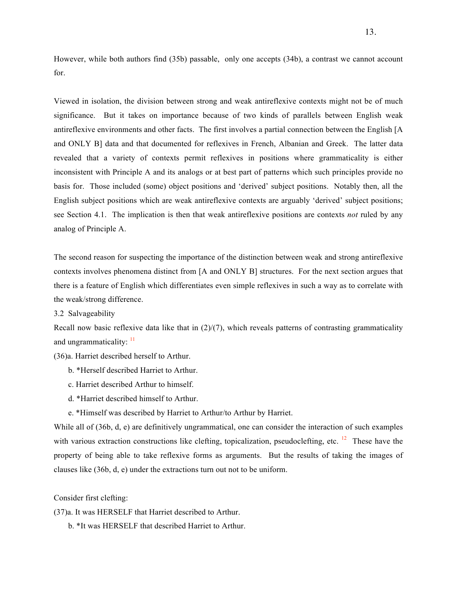However, while both authors find (35b) passable, only one accepts (34b), a contrast we cannot account for.

Viewed in isolation, the division between strong and weak antireflexive contexts might not be of much significance. But it takes on importance because of two kinds of parallels between English weak antireflexive environments and other facts. The first involves a partial connection between the English [A and ONLY B] data and that documented for reflexives in French, Albanian and Greek. The latter data revealed that a variety of contexts permit reflexives in positions where grammaticality is either inconsistent with Principle A and its analogs or at best part of patterns which such principles provide no basis for. Those included (some) object positions and 'derived' subject positions. Notably then, all the English subject positions which are weak antireflexive contexts are arguably 'derived' subject positions; see Section 4.1. The implication is then that weak antireflexive positions are contexts *not* ruled by any analog of Principle A.

The second reason for suspecting the importance of the distinction between weak and strong antireflexive contexts involves phenomena distinct from [A and ONLY B] structures. For the next section argues that there is a feature of English which differentiates even simple reflexives in such a way as to correlate with the weak/strong difference.

3.2 Salvageability

Recall now basic reflexive data like that in  $(2)/(7)$ , which reveals patterns of contrasting grammaticality and ungrammaticality:  $\frac{11}{11}$ 

(36)a. Harriet described herself to Arthur.

- b. \*Herself described Harriet to Arthur.
- c. Harriet described Arthur to himself.
- d. \*Harriet described himself to Arthur.
- e. \*Himself was described by Harriet to Arthur/to Arthur by Harriet.

While all of (36b, d, e) are definitively ungrammatical, one can consider the interaction of such examples with various extraction constructions like clefting, topicalization, pseudoclefting, etc.  $\frac{12}{12}$  These have the property of being able to take reflexive forms as arguments. But the results of taking the images of clauses like (36b, d, e) under the extractions turn out not to be uniform.

Consider first clefting:

(37)a. It was HERSELF that Harriet described to Arthur.

b. \*It was HERSELF that described Harriet to Arthur.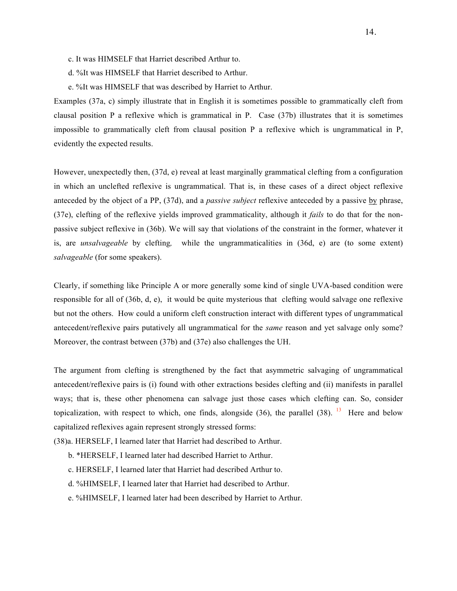- c. It was HIMSELF that Harriet described Arthur to.
- d. %It was HIMSELF that Harriet described to Arthur.
- e. %It was HIMSELF that was described by Harriet to Arthur.

Examples (37a, c) simply illustrate that in English it is sometimes possible to grammatically cleft from clausal position P a reflexive which is grammatical in P. Case (37b) illustrates that it is sometimes impossible to grammatically cleft from clausal position P a reflexive which is ungrammatical in P, evidently the expected results.

However, unexpectedly then, (37d, e) reveal at least marginally grammatical clefting from a configuration in which an unclefted reflexive is ungrammatical. That is, in these cases of a direct object reflexive anteceded by the object of a PP, (37d), and a *passive subject* reflexive anteceded by a passive by phrase, (37e), clefting of the reflexive yields improved grammaticality, although it *fails* to do that for the nonpassive subject reflexive in (36b). We will say that violations of the constraint in the former, whatever it is, are *unsalvageable* by clefting*,* while the ungrammaticalities in (36d, e) are (to some extent) *salvageable* (for some speakers).

Clearly, if something like Principle A or more generally some kind of single UVA-based condition were responsible for all of (36b, d, e), it would be quite mysterious that clefting would salvage one reflexive but not the others. How could a uniform cleft construction interact with different types of ungrammatical antecedent/reflexive pairs putatively all ungrammatical for the *same* reason and yet salvage only some? Moreover, the contrast between (37b) and (37e) also challenges the UH.

The argument from clefting is strengthened by the fact that asymmetric salvaging of ungrammatical antecedent/reflexive pairs is (i) found with other extractions besides clefting and (ii) manifests in parallel ways; that is, these other phenomena can salvage just those cases which clefting can. So, consider topicalization, with respect to which, one finds, alongside (36), the parallel (38). <sup>13</sup> Here and below capitalized reflexives again represent strongly stressed forms:

(38)a. HERSELF, I learned later that Harriet had described to Arthur.

- b. \*HERSELF, I learned later had described Harriet to Arthur.
- c. HERSELF, I learned later that Harriet had described Arthur to.
- d. %HIMSELF, I learned later that Harriet had described to Arthur.
- e. %HIMSELF, I learned later had been described by Harriet to Arthur.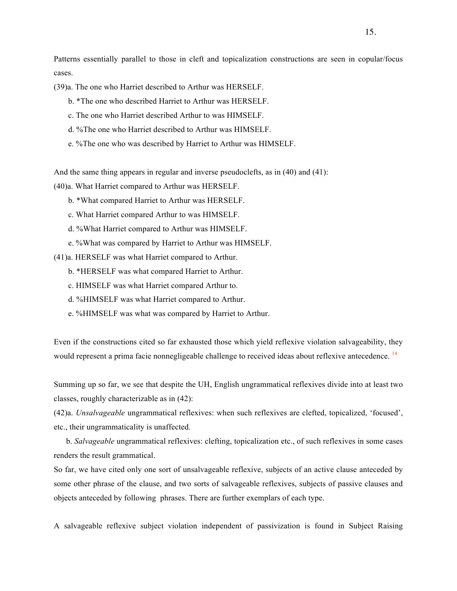Patterns essentially parallel to those in cleft and topicalization constructions are seen in copular/focus cases.

(39)a. The one who Harriet described to Arthur was HERSELF.

- b. \*The one who described Harriet to Arthur was HERSELF.
- c. The one who Harriet described Arthur to was HIMSELF.
- d. %The one who Harriet described to Arthur was HIMSELF.
- e. %The one who was described by Harriet to Arthur was HIMSELF.

And the same thing appears in regular and inverse pseudoclefts, as in (40) and (41):

(40)a. What Harriet compared to Arthur was HERSELF.

- b. \*What compared Harriet to Arthur was HERSELF.
- c. What Harriet compared Arthur to was HIMSELF.
- d. %What Harriet compared to Arthur was HIMSELF.
- e. %What was compared by Harriet to Arthur was HIMSELF.
- (41)a. HERSELF was what Harriet compared to Arthur.
	- b. \*HERSELF was what compared Harriet to Arthur.
	- c. HIMSELF was what Harriet compared Arthur to.
	- d. %HIMSELF was what Harriet compared to Arthur.
	- e. %HIMSELF was what was compared by Harriet to Arthur.

Even if the constructions cited so far exhausted those which yield reflexive violation salvageability, they would represent a prima facie nonnegligeable challenge to received ideas about reflexive antecedence.<sup>14</sup>

Summing up so far, we see that despite the UH, English ungrammatical reflexives divide into at least two classes, roughly characterizable as in (42):

(42)a. *Unsalvageable* ungrammatical reflexives: when such reflexives are clefted, topicalized, 'focused', etc., their ungrammaticality is unaffected.

 b. *Salvageable* ungrammatical reflexives: clefting, topicalization etc., of such reflexives in some cases renders the result grammatical.

So far, we have cited only one sort of unsalvageable reflexive, subjects of an active clause anteceded by some other phrase of the clause, and two sorts of salvageable reflexives, subjects of passive clauses and objects anteceded by following phrases. There are further exemplars of each type.

A salvageable reflexive subject violation independent of passivization is found in Subject Raising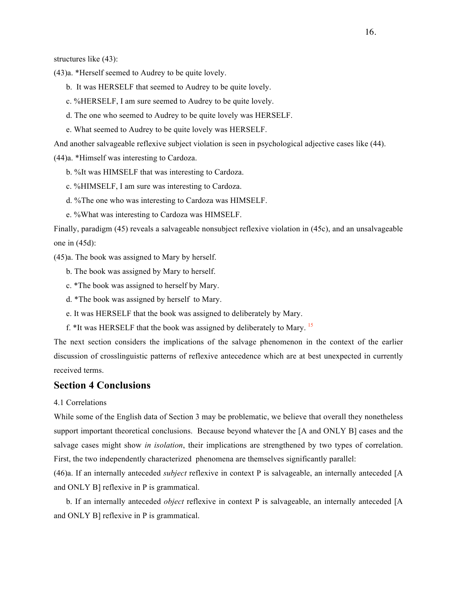structures like (43):

(43)a. \*Herself seemed to Audrey to be quite lovely.

- b. It was HERSELF that seemed to Audrey to be quite lovely.
- c. %HERSELF, I am sure seemed to Audrey to be quite lovely.
- d. The one who seemed to Audrey to be quite lovely was HERSELF.
- e. What seemed to Audrey to be quite lovely was HERSELF.

And another salvageable reflexive subject violation is seen in psychological adjective cases like (44).

(44)a. \*Himself was interesting to Cardoza.

- b. %It was HIMSELF that was interesting to Cardoza.
- c. %HIMSELF, I am sure was interesting to Cardoza.
- d. %The one who was interesting to Cardoza was HIMSELF.
- e. %What was interesting to Cardoza was HIMSELF.

Finally, paradigm (45) reveals a salvageable nonsubject reflexive violation in (45c), and an unsalvageable one in (45d):

(45)a. The book was assigned to Mary by herself.

b. The book was assigned by Mary to herself.

c. \*The book was assigned to herself by Mary.

d. \*The book was assigned by herself to Mary.

e. It was HERSELF that the book was assigned to deliberately by Mary.

f. \*It was HERSELF that the book was assigned by deliberately to Mary. <sup>15</sup>

The next section considers the implications of the salvage phenomenon in the context of the earlier discussion of crosslinguistic patterns of reflexive antecedence which are at best unexpected in currently received terms.

# **Section 4 Conclusions**

### 4.1 Correlations

While some of the English data of Section 3 may be problematic, we believe that overall they nonetheless support important theoretical conclusions. Because beyond whatever the [A and ONLY B] cases and the salvage cases might show *in isolation*, their implications are strengthened by two types of correlation. First, the two independently characterized phenomena are themselves significantly parallel:

(46)a. If an internally anteceded *subject* reflexive in context P is salvageable, an internally anteceded [A and ONLY B] reflexive in P is grammatical.

 b. If an internally anteceded *object* reflexive in context P is salvageable, an internally anteceded [A and ONLY B] reflexive in P is grammatical.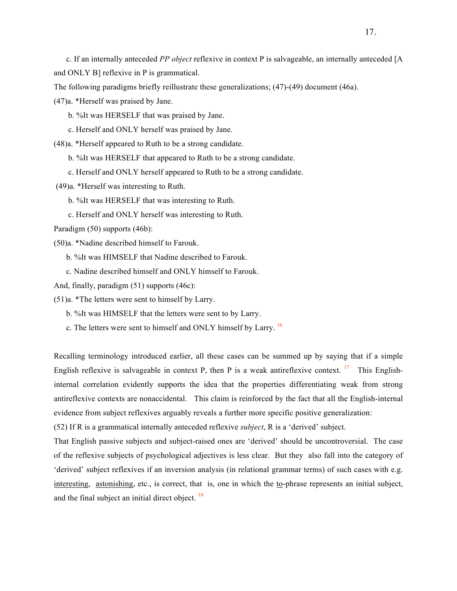c. If an internally anteceded *PP object* reflexive in context P is salvageable, an internally anteceded [A and ONLY B] reflexive in P is grammatical.

The following paradigms briefly reillustrate these generalizations; (47)-(49) document (46a).

(47)a. \*Herself was praised by Jane.

- b. %It was HERSELF that was praised by Jane.
- c. Herself and ONLY herself was praised by Jane.

(48)a. \*Herself appeared to Ruth to be a strong candidate.

b. %It was HERSELF that appeared to Ruth to be a strong candidate.

- c. Herself and ONLY herself appeared to Ruth to be a strong candidate.
- (49)a. \*Herself was interesting to Ruth.
	- b. %It was HERSELF that was interesting to Ruth.
	- c. Herself and ONLY herself was interesting to Ruth.

Paradigm (50) supports (46b):

(50)a. \*Nadine described himself to Farouk.

b. %It was HIMSELF that Nadine described to Farouk.

c. Nadine described himself and ONLY himself to Farouk.

And, finally, paradigm  $(51)$  supports  $(46c)$ :

(51)a. \*The letters were sent to himself by Larry.

b. %It was HIMSELF that the letters were sent to by Larry.

c. The letters were sent to himself and ONLY himself by Larry.<sup>16</sup>

Recalling terminology introduced earlier, all these cases can be summed up by saying that if a simple English reflexive is salvageable in context P, then P is a weak antireflexive context. <sup>17</sup> This Englishinternal correlation evidently supports the idea that the properties differentiating weak from strong antireflexive contexts are nonaccidental. This claim is reinforced by the fact that all the English-internal evidence from subject reflexives arguably reveals a further more specific positive generalization:

(52) If R is a grammatical internally anteceded reflexive *subject*, R is a 'derived' subject.

That English passive subjects and subject-raised ones are 'derived' should be uncontroversial. The case of the reflexive subjects of psychological adjectives is less clear. But they also fall into the category of 'derived' subject reflexives if an inversion analysis (in relational grammar terms) of such cases with e.g. interesting, astonishing, etc., is correct, that is, one in which the <u>to</u>-phrase represents an initial subject, and the final subject an initial direct object. <sup>18</sup>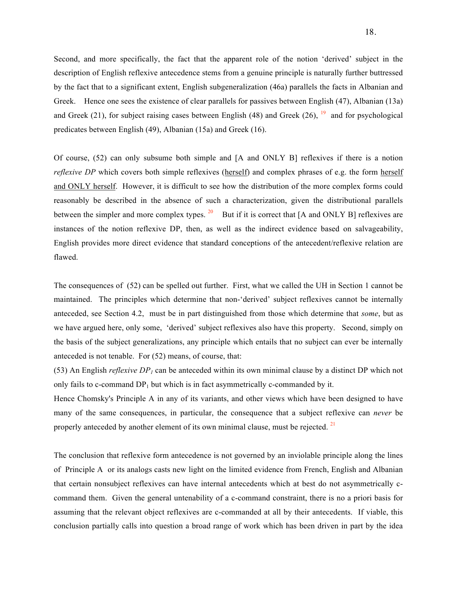Second, and more specifically, the fact that the apparent role of the notion 'derived' subject in the description of English reflexive antecedence stems from a genuine principle is naturally further buttressed by the fact that to a significant extent, English subgeneralization (46a) parallels the facts in Albanian and Greek. Hence one sees the existence of clear parallels for passives between English (47), Albanian (13a) and Greek (21), for subject raising cases between English (48) and Greek (26),  $^{19}$  and for psychological predicates between English (49), Albanian (15a) and Greek (16).

Of course, (52) can only subsume both simple and [A and ONLY B] reflexives if there is a notion *reflexive DP* which covers both simple reflexives (herself) and complex phrases of e.g. the form herself and ONLY herself. However, it is difficult to see how the distribution of the more complex forms could reasonably be described in the absence of such a characterization, given the distributional parallels between the simpler and more complex types.  $^{20}$  But if it is correct that [A and ONLY B] reflexives are instances of the notion reflexive DP, then, as well as the indirect evidence based on salvageability, English provides more direct evidence that standard conceptions of the antecedent/reflexive relation are flawed.

The consequences of (52) can be spelled out further. First, what we called the UH in Section 1 cannot be maintained. The principles which determine that non-'derived' subject reflexives cannot be internally anteceded, see Section 4.2, must be in part distinguished from those which determine that *some*, but as we have argued here, only some, 'derived' subject reflexives also have this property. Second, simply on the basis of the subject generalizations, any principle which entails that no subject can ever be internally anteceded is not tenable. For (52) means, of course, that:

(53) An English *reflexive DP<sub>1</sub>* can be anteceded within its own minimal clause by a distinct DP which not only fails to c-command  $DP_1$  but which is in fact asymmetrically c-commanded by it.

Hence Chomsky's Principle A in any of its variants, and other views which have been designed to have many of the same consequences, in particular, the consequence that a subject reflexive can *never* be properly anteceded by another element of its own minimal clause, must be rejected.<sup>21</sup>

The conclusion that reflexive form antecedence is not governed by an inviolable principle along the lines of Principle A or its analogs casts new light on the limited evidence from French, English and Albanian that certain nonsubject reflexives can have internal antecedents which at best do not asymmetrically ccommand them. Given the general untenability of a c-command constraint, there is no a priori basis for assuming that the relevant object reflexives are c-commanded at all by their antecedents. If viable, this conclusion partially calls into question a broad range of work which has been driven in part by the idea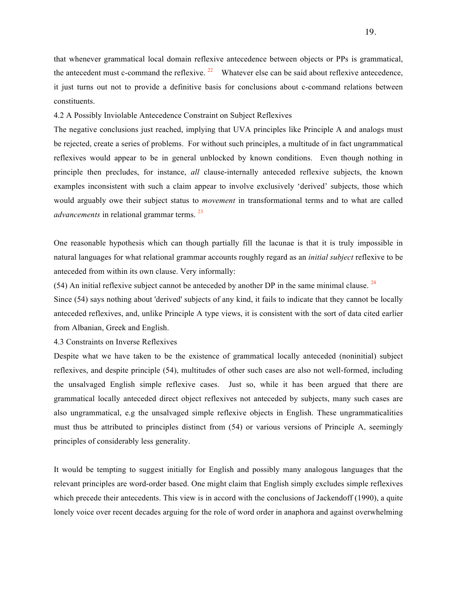that whenever grammatical local domain reflexive antecedence between objects or PPs is grammatical, the antecedent must c-command the reflexive.  $^{22}$  Whatever else can be said about reflexive antecedence, it just turns out not to provide a definitive basis for conclusions about c-command relations between constituents.

4.2 A Possibly Inviolable Antecedence Constraint on Subject Reflexives

The negative conclusions just reached, implying that UVA principles like Principle A and analogs must be rejected, create a series of problems. For without such principles, a multitude of in fact ungrammatical reflexives would appear to be in general unblocked by known conditions. Even though nothing in principle then precludes, for instance, *all* clause-internally anteceded reflexive subjects, the known examples inconsistent with such a claim appear to involve exclusively 'derived' subjects, those which would arguably owe their subject status to *movement* in transformational terms and to what are called *advancements* in relational grammar terms. <sup>23</sup>

One reasonable hypothesis which can though partially fill the lacunae is that it is truly impossible in natural languages for what relational grammar accounts roughly regard as an *initial subject* reflexive to be anteceded from within its own clause. Very informally:

 $(54)$  An initial reflexive subject cannot be anteceded by another DP in the same minimal clause. <sup>24</sup>

Since (54) says nothing about 'derived' subjects of any kind, it fails to indicate that they cannot be locally anteceded reflexives, and, unlike Principle A type views, it is consistent with the sort of data cited earlier from Albanian, Greek and English.

4.3 Constraints on Inverse Reflexives

Despite what we have taken to be the existence of grammatical locally anteceded (noninitial) subject reflexives, and despite principle (54), multitudes of other such cases are also not well-formed, including the unsalvaged English simple reflexive cases. Just so, while it has been argued that there are grammatical locally anteceded direct object reflexives not anteceded by subjects, many such cases are also ungrammatical, e.g the unsalvaged simple reflexive objects in English. These ungrammaticalities must thus be attributed to principles distinct from (54) or various versions of Principle A, seemingly principles of considerably less generality.

It would be tempting to suggest initially for English and possibly many analogous languages that the relevant principles are word-order based. One might claim that English simply excludes simple reflexives which precede their antecedents. This view is in accord with the conclusions of Jackendoff (1990), a quite lonely voice over recent decades arguing for the role of word order in anaphora and against overwhelming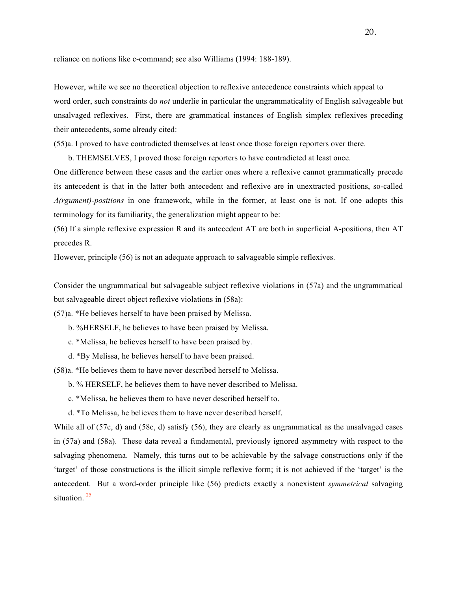reliance on notions like c-command; see also Williams (1994: 188-189).

However, while we see no theoretical objection to reflexive antecedence constraints which appeal to word order, such constraints do *not* underlie in particular the ungrammaticality of English salvageable but unsalvaged reflexives. First, there are grammatical instances of English simplex reflexives preceding their antecedents, some already cited:

(55)a. I proved to have contradicted themselves at least once those foreign reporters over there.

b. THEMSELVES, I proved those foreign reporters to have contradicted at least once.

One difference between these cases and the earlier ones where a reflexive cannot grammatically precede its antecedent is that in the latter both antecedent and reflexive are in unextracted positions, so-called *A(rgument)-positions* in one framework, while in the former, at least one is not. If one adopts this terminology for its familiarity, the generalization might appear to be:

(56) If a simple reflexive expression R and its antecedent AT are both in superficial A-positions, then AT precedes R.

However, principle (56) is not an adequate approach to salvageable simple reflexives.

Consider the ungrammatical but salvageable subject reflexive violations in (57a) and the ungrammatical but salvageable direct object reflexive violations in (58a):

(57)a. \*He believes herself to have been praised by Melissa.

b. %HERSELF, he believes to have been praised by Melissa.

- c. \*Melissa, he believes herself to have been praised by.
- d. \*By Melissa, he believes herself to have been praised.

(58)a. \*He believes them to have never described herself to Melissa.

b. % HERSELF, he believes them to have never described to Melissa.

c. \*Melissa, he believes them to have never described herself to.

d. \*To Melissa, he believes them to have never described herself.

While all of (57c, d) and (58c, d) satisfy (56), they are clearly as ungrammatical as the unsalvaged cases in (57a) and (58a). These data reveal a fundamental, previously ignored asymmetry with respect to the salvaging phenomena. Namely, this turns out to be achievable by the salvage constructions only if the 'target' of those constructions is the illicit simple reflexive form; it is not achieved if the 'target' is the antecedent. But a word-order principle like (56) predicts exactly a nonexistent *symmetrical* salvaging situation.<sup>25</sup>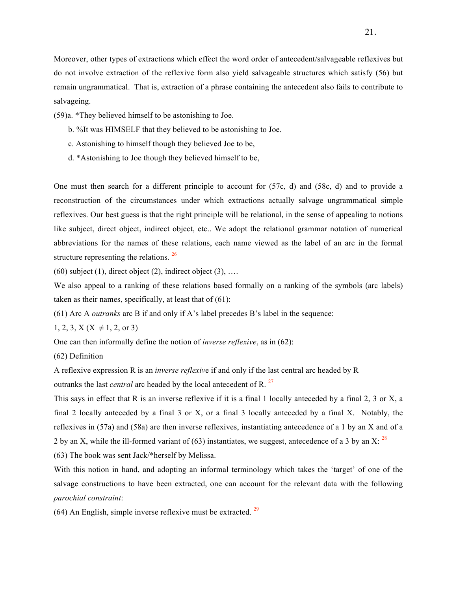Moreover, other types of extractions which effect the word order of antecedent/salvageable reflexives but do not involve extraction of the reflexive form also yield salvageable structures which satisfy (56) but remain ungrammatical. That is, extraction of a phrase containing the antecedent also fails to contribute to salvageing.

- (59)a. \*They believed himself to be astonishing to Joe.
	- b. %It was HIMSELF that they believed to be astonishing to Joe.
	- c. Astonishing to himself though they believed Joe to be,
	- d. \*Astonishing to Joe though they believed himself to be,

One must then search for a different principle to account for (57c, d) and (58c, d) and to provide a reconstruction of the circumstances under which extractions actually salvage ungrammatical simple reflexives. Our best guess is that the right principle will be relational, in the sense of appealing to notions like subject, direct object, indirect object, etc.. We adopt the relational grammar notation of numerical abbreviations for the names of these relations, each name viewed as the label of an arc in the formal structure representing the relations. <sup>26</sup>

 $(60)$  subject  $(1)$ , direct object  $(2)$ , indirect object  $(3)$ , ...

We also appeal to a ranking of these relations based formally on a ranking of the symbols (arc labels) taken as their names, specifically, at least that of (61):

(61) Arc A *outranks* arc B if and only if A's label precedes B's label in the sequence:

 $1, 2, 3, X (X \neq 1, 2, \text{or } 3)$ 

One can then informally define the notion of *inverse reflexive*, as in (62):

(62) Definition

A reflexive expression R is an *inverse reflexiv*e if and only if the last central arc headed by R

outranks the last *central* arc headed by the local antecedent of R.<sup>27</sup>

This says in effect that R is an inverse reflexive if it is a final 1 locally anteceded by a final 2, 3 or X, a final 2 locally anteceded by a final 3 or X, or a final 3 locally anteceded by a final X. Notably, the reflexives in (57a) and (58a) are then inverse reflexives, instantiating antecedence of a 1 by an X and of a 2 by an X, while the ill-formed variant of (63) instantiates, we suggest, antecedence of a 3 by an X:  $^{28}$ 

(63) The book was sent Jack/\*herself by Melissa.

With this notion in hand, and adopting an informal terminology which takes the 'target' of one of the salvage constructions to have been extracted, one can account for the relevant data with the following *parochial constraint*:

(64) An English, simple inverse reflexive must be extracted.  $29$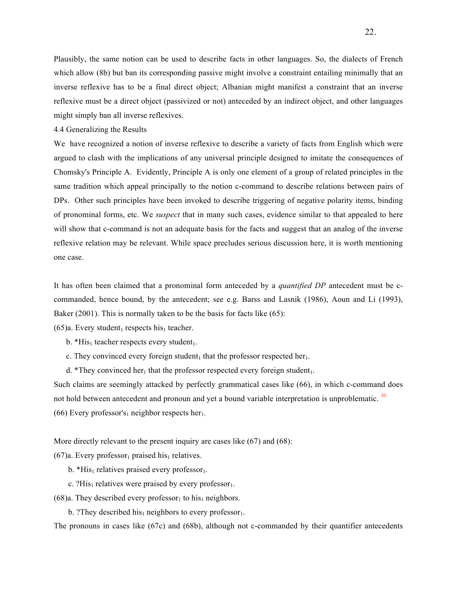Plausibly, the same notion can be used to describe facts in other languages. So, the dialects of French which allow (8b) but ban its corresponding passive might involve a constraint entailing minimally that an inverse reflexive has to be a final direct object; Albanian might manifest a constraint that an inverse reflexive must be a direct object (passivized or not) anteceded by an indirect object, and other languages might simply ban all inverse reflexives.

4.4 Generalizing the Results

We have recognized a notion of inverse reflexive to describe a variety of facts from English which were argued to clash with the implications of any universal principle designed to imitate the consequences of Chomsky's Principle A. Evidently, Principle A is only one element of a group of related principles in the same tradition which appeal principally to the notion c-command to describe relations between pairs of DPs. Other such principles have been invoked to describe triggering of negative polarity items, binding of pronominal forms, etc. We *suspect* that in many such cases, evidence similar to that appealed to here will show that c-command is not an adequate basis for the facts and suggest that an analog of the inverse reflexive relation may be relevant. While space precludes serious discussion here, it is worth mentioning one case.

It has often been claimed that a pronominal form anteceded by a *quantified DP* antecedent must be ccommanded, hence bound, by the antecedent; see e.g. Barss and Lasnik (1986), Aoun and Li (1993), Baker (2001). This is normally taken to be the basis for facts like (65):

 $(65)a$ . Every student<sub>1</sub> respects his<sub>1</sub> teacher.

b.  $*His<sub>1</sub> teacher respects every student<sub>1</sub>.$ 

- c. They convinced every foreign student<sub>1</sub> that the professor respected her<sub>1</sub>.
- d. \*They convinced her<sub>1</sub> that the professor respected every foreign student<sub>1</sub>.

Such claims are seemingly attacked by perfectly grammatical cases like (66), in which c-command does not hold between antecedent and pronoun and yet a bound variable interpretation is unproblematic.<sup>30</sup> (66) Every professor's<sub>1</sub> neighbor respects her<sub>1</sub>.

More directly relevant to the present inquiry are cases like (67) and (68):

 $(67)a$ . Every professor<sub>1</sub> praised his<sub>1</sub> relatives.

- b. \*His<sub>1</sub> relatives praised every professor<sub>1</sub>.
- c. ?His<sub>1</sub> relatives were praised by every professor<sub>1</sub>.

(68)a. They described every professor<sub>1</sub> to his<sub>1</sub> neighbors.

b. ?They described his<sub>1</sub> neighbors to every professor<sub>1</sub>.

The pronouns in cases like (67c) and (68b), although not c-commanded by their quantifier antecedents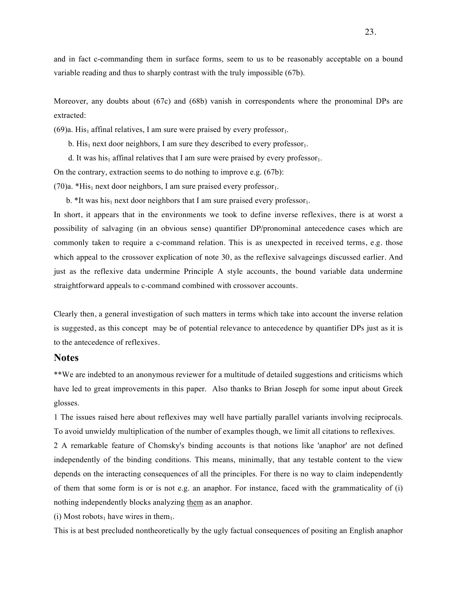and in fact c-commanding them in surface forms, seem to us to be reasonably acceptable on a bound variable reading and thus to sharply contrast with the truly impossible (67b).

Moreover, any doubts about (67c) and (68b) vanish in correspondents where the pronominal DPs are extracted:

 $(69)a$ . His<sub>1</sub> affinal relatives, I am sure were praised by every professor<sub>1</sub>.

b. His<sub>1</sub> next door neighbors, I am sure they described to every professor<sub>1</sub>.

d. It was his<sub>1</sub> affinal relatives that I am sure were praised by every professor<sub>1</sub>.

On the contrary, extraction seems to do nothing to improve e.g. (67b):

(70)a. \*His<sub>1</sub> next door neighbors, I am sure praised every professor<sub>1</sub>.

b. \*It was his<sub>1</sub> next door neighbors that I am sure praised every professor<sub>1</sub>.

In short, it appears that in the environments we took to define inverse reflexives, there is at worst a possibility of salvaging (in an obvious sense) quantifier DP/pronominal antecedence cases which are commonly taken to require a c-command relation. This is as unexpected in received terms, e.g. those which appeal to the crossover explication of note 30, as the reflexive salvageings discussed earlier. And just as the reflexive data undermine Principle A style accounts, the bound variable data undermine straightforward appeals to c-command combined with crossover accounts.

Clearly then, a general investigation of such matters in terms which take into account the inverse relation is suggested, as this concept may be of potential relevance to antecedence by quantifier DPs just as it is to the antecedence of reflexives.

### **Notes**

\*\*We are indebted to an anonymous reviewer for a multitude of detailed suggestions and criticisms which have led to great improvements in this paper. Also thanks to Brian Joseph for some input about Greek glosses.

1 The issues raised here about reflexives may well have partially parallel variants involving reciprocals. To avoid unwieldy multiplication of the number of examples though, we limit all citations to reflexives.

2 A remarkable feature of Chomsky's binding accounts is that notions like 'anaphor' are not defined independently of the binding conditions. This means, minimally, that any testable content to the view depends on the interacting consequences of all the principles. For there is no way to claim independently of them that some form is or is not e.g. an anaphor. For instance, faced with the grammaticality of (i) nothing independently blocks analyzing them as an anaphor.

(i) Most robots<sub>1</sub> have wires in them<sub>1</sub>.

This is at best precluded nontheoretically by the ugly factual consequences of positing an English anaphor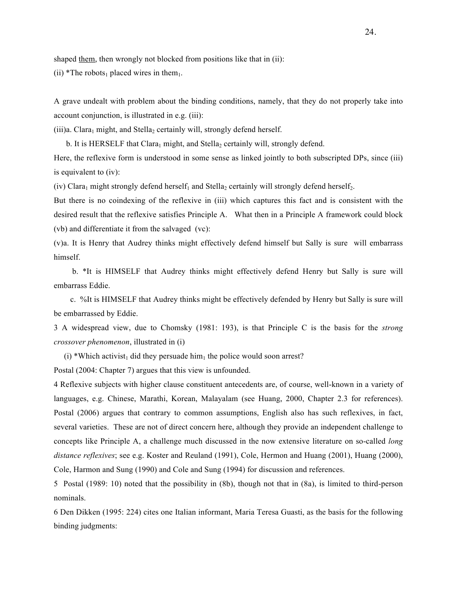shaped them, then wrongly not blocked from positions like that in (ii):

(ii) \*The robots<sub>1</sub> placed wires in them<sub>1</sub>.

A grave undealt with problem about the binding conditions, namely, that they do not properly take into account conjunction, is illustrated in e.g. (iii):

 $(iii)$ a. Clara<sub>1</sub> might, and Stella<sub>2</sub> certainly will, strongly defend herself.

b. It is HERSELF that Clara<sub>1</sub> might, and Stella<sub>2</sub> certainly will, strongly defend.

Here, the reflexive form is understood in some sense as linked jointly to both subscripted DPs, since (iii) is equivalent to (iv):

(iv) Clara<sub>1</sub> might strongly defend herself<sub>1</sub> and Stella<sub>2</sub> certainly will strongly defend herself<sub>2</sub>.

But there is no coindexing of the reflexive in (iii) which captures this fact and is consistent with the desired result that the reflexive satisfies Principle A. What then in a Principle A framework could block (vb) and differentiate it from the salvaged (vc):

(v)a. It is Henry that Audrey thinks might effectively defend himself but Sally is sure will embarrass himself.

 b. \*It is HIMSELF that Audrey thinks might effectively defend Henry but Sally is sure will embarrass Eddie.

 c. %It is HIMSELF that Audrey thinks might be effectively defended by Henry but Sally is sure will be embarrassed by Eddie.

3 A widespread view, due to Chomsky (1981: 193), is that Principle C is the basis for the *strong crossover phenomenon*, illustrated in (i)

(i) \*Which activist<sub>1</sub> did they persuade him<sub>1</sub> the police would soon arrest?

Postal (2004: Chapter 7) argues that this view is unfounded.

4 Reflexive subjects with higher clause constituent antecedents are, of course, well-known in a variety of languages, e.g. Chinese, Marathi, Korean, Malayalam (see Huang, 2000, Chapter 2.3 for references). Postal (2006) argues that contrary to common assumptions, English also has such reflexives, in fact, several varieties. These are not of direct concern here, although they provide an independent challenge to concepts like Principle A, a challenge much discussed in the now extensive literature on so-called *long distance reflexives*; see e.g. Koster and Reuland (1991), Cole, Hermon and Huang (2001), Huang (2000), Cole, Harmon and Sung (1990) and Cole and Sung (1994) for discussion and references.

5 Postal (1989: 10) noted that the possibility in (8b), though not that in (8a), is limited to third-person nominals.

6 Den Dikken (1995: 224) cites one Italian informant, Maria Teresa Guasti, as the basis for the following binding judgments: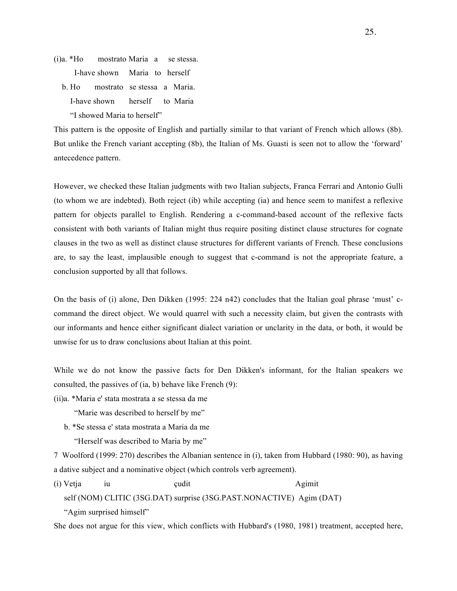- (i)a. \*Ho mostrato Maria a se stessa. I-have shown Maria to herself
	- b. Ho mostrato se stessa a Maria. I-have shown herself to Maria "I showed Maria to herself"

This pattern is the opposite of English and partially similar to that variant of French which allows (8b). But unlike the French variant accepting (8b), the Italian of Ms. Guasti is seen not to allow the 'forward' antecedence pattern.

However, we checked these Italian judgments with two Italian subjects, Franca Ferrari and Antonio Gulli (to whom we are indebted). Both reject (ib) while accepting (ia) and hence seem to manifest a reflexive pattern for objects parallel to English. Rendering a c-command-based account of the reflexive facts consistent with both variants of Italian might thus require positing distinct clause structures for cognate clauses in the two as well as distinct clause structures for different variants of French. These conclusions are, to say the least, implausible enough to suggest that c-command is not the appropriate feature, a conclusion supported by all that follows.

On the basis of (i) alone, Den Dikken (1995: 224 n42) concludes that the Italian goal phrase 'must' ccommand the direct object. We would quarrel with such a necessity claim, but given the contrasts with our informants and hence either significant dialect variation or unclarity in the data, or both, it would be unwise for us to draw conclusions about Italian at this point.

While we do not know the passive facts for Den Dikken's informant, for the Italian speakers we consulted, the passives of (ia, b) behave like French (9):

- (ii)a. \*Maria e' stata mostrata a se stessa da me
	- "Marie was described to herself by me"
	- b. \*Se stessa e' stata mostrata a Maria da me

"Herself was described to Maria by me"

7 Woolford (1999: 270) describes the Albanian sentence in (i), taken from Hubbard (1980: 90), as having a dative subject and a nominative object (which controls verb agreement).

(i) Vetja iu cudit cudit Agimit self (NOM) CLITIC (3SG.DAT) surprise (3SG.PAST.NONACTIVE) Agim (DAT) "Agim surprised himself"

She does not argue for this view, which conflicts with Hubbard's (1980, 1981) treatment, accepted here,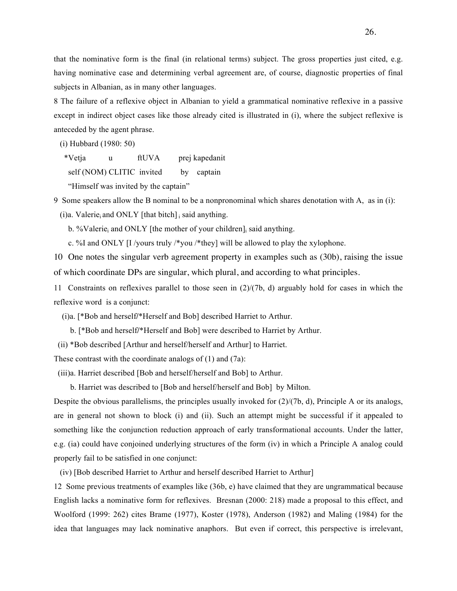that the nominative form is the final (in relational terms) subject. The gross properties just cited, e.g. having nominative case and determining verbal agreement are, of course, diagnostic properties of final subjects in Albanian, as in many other languages.

8 The failure of a reflexive object in Albanian to yield a grammatical nominative reflexive in a passive except in indirect object cases like those already cited is illustrated in (i), where the subject reflexive is anteceded by the agent phrase.

(i) Hubbard (1980: 50)

\*Vetja u ftUVA prej kapedanit

self (NOM) CLITIC invited by captain

"Himself was invited by the captain"

9 Some speakers allow the B nominal to be a nonpronominal which shares denotation with A, as in (i):

 $(i)$ a. Valerie<sub>i</sub> and ONLY [that bitch] i said anything.

b. %Valerie<sub>i</sub> and ONLY [the mother of your children]<sub>i</sub> said anything.

c. %I and ONLY [I /yours truly /\*you /\*they] will be allowed to play the xylophone.

10 One notes the singular verb agreement property in examples such as (30b), raising the issue of which coordinate DPs are singular, which plural, and according to what principles.

11 Constraints on reflexives parallel to those seen in (2)/(7b, d) arguably hold for cases in which the reflexive word is a conjunct:

(i)a. [\*Bob and herself**/**\*Herself and Bob] described Harriet to Arthur.

b. [\*Bob and herself**/**\*Herself and Bob] were described to Harriet by Arthur.

(ii) \*Bob described [Arthur and herself/herself and Arthur] to Harriet.

These contrast with the coordinate analogs of (1) and (7a):

(iii)a. Harriet described [Bob and herself/herself and Bob] to Arthur.

b. Harriet was described to [Bob and herself/herself and Bob] by Milton.

Despite the obvious parallelisms, the principles usually invoked for (2)/(7b, d), Principle A or its analogs, are in general not shown to block (i) and (ii). Such an attempt might be successful if it appealed to something like the conjunction reduction approach of early transformational accounts. Under the latter, e.g. (ia) could have conjoined underlying structures of the form (iv) in which a Principle A analog could properly fail to be satisfied in one conjunct:

(iv) [Bob described Harriet to Arthur and herself described Harriet to Arthur]

12 Some previous treatments of examples like (36b, e) have claimed that they are ungrammatical because English lacks a nominative form for reflexives. Bresnan (2000: 218) made a proposal to this effect, and Woolford (1999: 262) cites Brame (1977), Koster (1978), Anderson (1982) and Maling (1984) for the idea that languages may lack nominative anaphors. But even if correct, this perspective is irrelevant,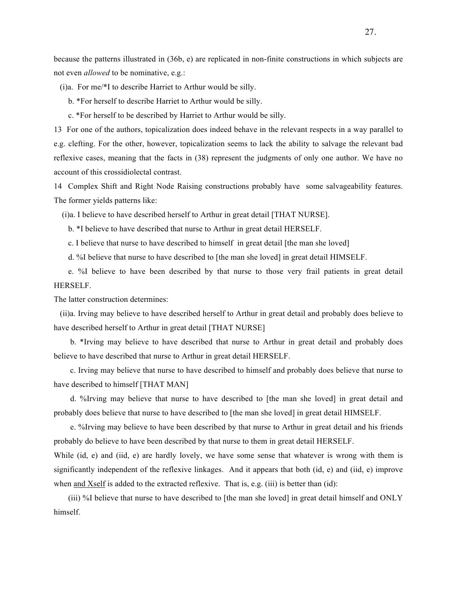because the patterns illustrated in (36b, e) are replicated in non-finite constructions in which subjects are not even *allowed* to be nominative, e.g.:

(i)a. For me/\*I to describe Harriet to Arthur would be silly.

b. \*For herself to describe Harriet to Arthur would be silly.

c. \*For herself to be described by Harriet to Arthur would be silly.

13 For one of the authors, topicalization does indeed behave in the relevant respects in a way parallel to e.g. clefting. For the other, however, topicalization seems to lack the ability to salvage the relevant bad reflexive cases, meaning that the facts in (38) represent the judgments of only one author. We have no account of this crossidiolectal contrast.

14 Complex Shift and Right Node Raising constructions probably have some salvageability features. The former yields patterns like:

(i)a. I believe to have described herself to Arthur in great detail [THAT NURSE].

b. \*I believe to have described that nurse to Arthur in great detail HERSELF.

c. I believe that nurse to have described to himself in great detail [the man she loved]

d. %I believe that nurse to have described to [the man she loved] in great detail HIMSELF.

 e. %I believe to have been described by that nurse to those very frail patients in great detail HERSELF.

The latter construction determines:

 (ii)a. Irving may believe to have described herself to Arthur in great detail and probably does believe to have described herself to Arthur in great detail [THAT NURSE]

 b. \*Irving may believe to have described that nurse to Arthur in great detail and probably does believe to have described that nurse to Arthur in great detail HERSELF.

 c. Irving may believe that nurse to have described to himself and probably does believe that nurse to have described to himself [THAT MAN]

 d. %Irving may believe that nurse to have described to [the man she loved] in great detail and probably does believe that nurse to have described to [the man she loved] in great detail HIMSELF.

 e. %Irving may believe to have been described by that nurse to Arthur in great detail and his friends probably do believe to have been described by that nurse to them in great detail HERSELF.

While (id, e) and (iid, e) are hardly lovely, we have some sense that whatever is wrong with them is significantly independent of the reflexive linkages. And it appears that both (id, e) and (iid, e) improve when and Xself is added to the extracted reflexive. That is, e.g. (iii) is better than (id):

 (iii) %I believe that nurse to have described to [the man she loved] in great detail himself and ONLY himself.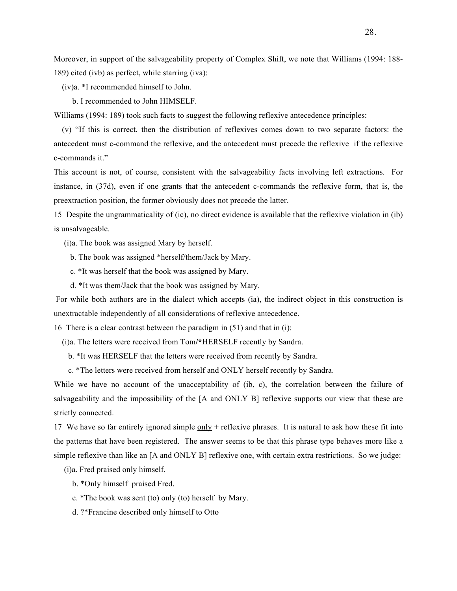Moreover, in support of the salvageability property of Complex Shift, we note that Williams (1994: 188- 189) cited (ivb) as perfect, while starring (iva):

(iv)a. \*I recommended himself to John.

b. I recommended to John HIMSELF.

Williams (1994: 189) took such facts to suggest the following reflexive antecedence principles:

 (v) "If this is correct, then the distribution of reflexives comes down to two separate factors: the antecedent must c-command the reflexive, and the antecedent must precede the reflexive if the reflexive c-commands it."

This account is not, of course, consistent with the salvageability facts involving left extractions. For instance, in (37d), even if one grants that the antecedent c-commands the reflexive form, that is, the preextraction position, the former obviously does not precede the latter.

15 Despite the ungrammaticality of (ic), no direct evidence is available that the reflexive violation in (ib) is unsalvageable.

(i)a. The book was assigned Mary by herself.

- b. The book was assigned \*herself/them/Jack by Mary.
- c. \*It was herself that the book was assigned by Mary.
- d. \*It was them/Jack that the book was assigned by Mary.

 For while both authors are in the dialect which accepts (ia), the indirect object in this construction is unextractable independently of all considerations of reflexive antecedence.

16 There is a clear contrast between the paradigm in (51) and that in (i):

(i)a. The letters were received from Tom**/\***HERSELF recently by Sandra.

b. \*It was HERSELF that the letters were received from recently by Sandra.

c. \*The letters were received from herself and ONLY herself recently by Sandra.

While we have no account of the unacceptability of (ib, c), the correlation between the failure of salvageability and the impossibility of the [A and ONLY B] reflexive supports our view that these are strictly connected.

17 We have so far entirely ignored simple only + reflexive phrases. It is natural to ask how these fit into the patterns that have been registered. The answer seems to be that this phrase type behaves more like a simple reflexive than like an [A and ONLY B] reflexive one, with certain extra restrictions. So we judge:

(i)a. Fred praised only himself.

- b. \*Only himself praised Fred.
- c. \*The book was sent (to) only (to) herself by Mary.
- d. ?\*Francine described only himself to Otto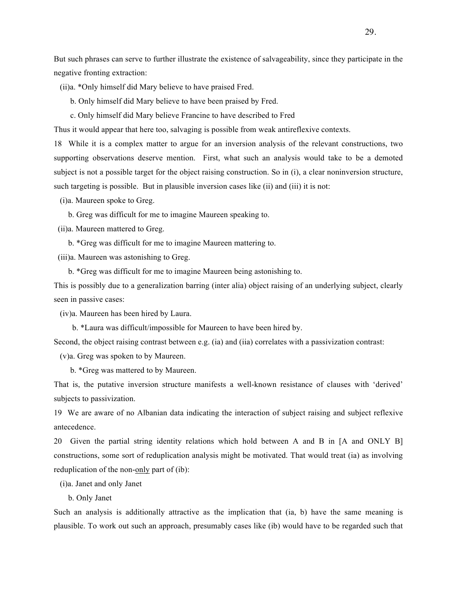But such phrases can serve to further illustrate the existence of salvageability, since they participate in the negative fronting extraction:

(ii)a. \*Only himself did Mary believe to have praised Fred.

b. Only himself did Mary believe to have been praised by Fred.

c. Only himself did Mary believe Francine to have described to Fred

Thus it would appear that here too, salvaging is possible from weak antireflexive contexts.

18 While it is a complex matter to argue for an inversion analysis of the relevant constructions, two supporting observations deserve mention. First, what such an analysis would take to be a demoted subject is not a possible target for the object raising construction. So in (i), a clear noninversion structure, such targeting is possible. But in plausible inversion cases like (ii) and (iii) it is not:

(i)a. Maureen spoke to Greg.

b. Greg was difficult for me to imagine Maureen speaking to.

(ii)a. Maureen mattered to Greg.

b. \*Greg was difficult for me to imagine Maureen mattering to.

(iii)a. Maureen was astonishing to Greg.

b. \*Greg was difficult for me to imagine Maureen being astonishing to.

This is possibly due to a generalization barring (inter alia) object raising of an underlying subject, clearly seen in passive cases:

(iv)a. Maureen has been hired by Laura.

b. \*Laura was difficult/impossible for Maureen to have been hired by.

Second, the object raising contrast between e.g. (ia) and (iia) correlates with a passivization contrast:

(v)a. Greg was spoken to by Maureen.

b. \*Greg was mattered to by Maureen.

That is, the putative inversion structure manifests a well-known resistance of clauses with 'derived' subjects to passivization.

19 We are aware of no Albanian data indicating the interaction of subject raising and subject reflexive antecedence.

20 Given the partial string identity relations which hold between A and B in [A and ONLY B] constructions, some sort of reduplication analysis might be motivated. That would treat (ia) as involving reduplication of the non-only part of (ib):

(i)a. Janet and only Janet

b. Only Janet

Such an analysis is additionally attractive as the implication that (ia, b) have the same meaning is plausible. To work out such an approach, presumably cases like (ib) would have to be regarded such that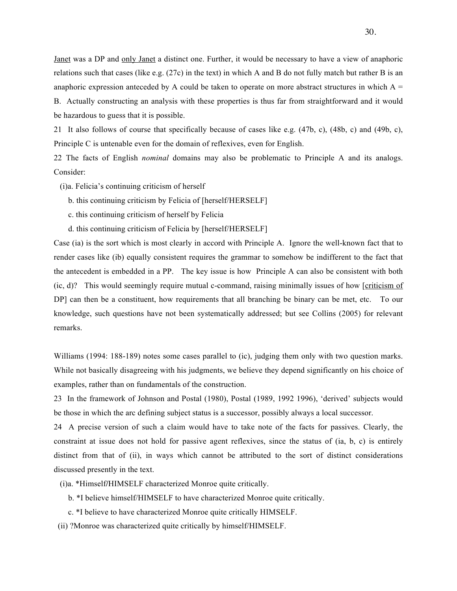Janet was a DP and only Janet a distinct one. Further, it would be necessary to have a view of anaphoric relations such that cases (like e.g. (27c) in the text) in which A and B do not fully match but rather B is an anaphoric expression anteceded by A could be taken to operate on more abstract structures in which  $A =$ 

B. Actually constructing an analysis with these properties is thus far from straightforward and it would be hazardous to guess that it is possible.

21 It also follows of course that specifically because of cases like e.g. (47b, c), (48b, c) and (49b, c), Principle C is untenable even for the domain of reflexives, even for English.

22 The facts of English *nominal* domains may also be problematic to Principle A and its analogs. Consider:

- (i)a. Felicia's continuing criticism of herself
	- b. this continuing criticism by Felicia of [herself/HERSELF]
	- c. this continuing criticism of herself by Felicia
	- d. this continuing criticism of Felicia by [herself/HERSELF]

Case (ia) is the sort which is most clearly in accord with Principle A. Ignore the well-known fact that to render cases like (ib) equally consistent requires the grammar to somehow be indifferent to the fact that the antecedent is embedded in a PP. The key issue is how Principle A can also be consistent with both (ic, d)? This would seemingly require mutual c-command, raising minimally issues of how [criticism of DP] can then be a constituent, how requirements that all branching be binary can be met, etc. To our knowledge, such questions have not been systematically addressed; but see Collins (2005) for relevant remarks.

Williams (1994: 188-189) notes some cases parallel to (ic), judging them only with two question marks. While not basically disagreeing with his judgments, we believe they depend significantly on his choice of examples, rather than on fundamentals of the construction.

23 In the framework of Johnson and Postal (1980), Postal (1989, 1992 1996), 'derived' subjects would be those in which the arc defining subject status is a successor, possibly always a local successor.

24 A precise version of such a claim would have to take note of the facts for passives. Clearly, the constraint at issue does not hold for passive agent reflexives, since the status of (ia, b, c) is entirely distinct from that of (ii), in ways which cannot be attributed to the sort of distinct considerations discussed presently in the text.

(i)a. \*Himself**/**HIMSELF characterized Monroe quite critically.

- b. \*I believe himself/HIMSELF to have characterized Monroe quite critically.
- c. \*I believe to have characterized Monroe quite critically HIMSELF.
- (ii) ?Monroe was characterized quite critically by himself/HIMSELF.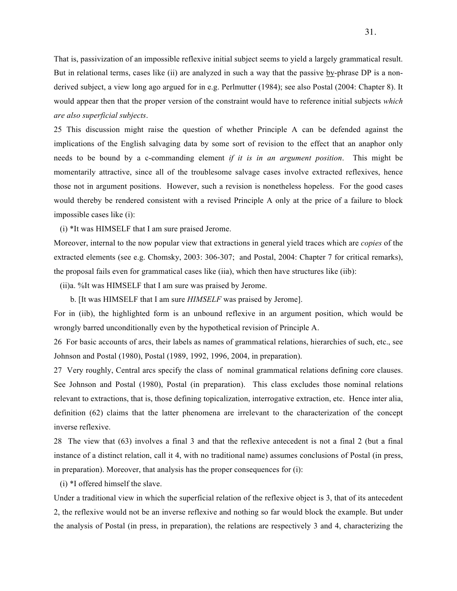That is, passivization of an impossible reflexive initial subject seems to yield a largely grammatical result. But in relational terms, cases like (ii) are analyzed in such a way that the passive by-phrase DP is a nonderived subject, a view long ago argued for in e.g. Perlmutter (1984); see also Postal (2004: Chapter 8). It would appear then that the proper version of the constraint would have to reference initial subjects *which are also superficial subjects*.

25 This discussion might raise the question of whether Principle A can be defended against the implications of the English salvaging data by some sort of revision to the effect that an anaphor only needs to be bound by a c-commanding element *if it is in an argument position*. This might be momentarily attractive, since all of the troublesome salvage cases involve extracted reflexives, hence those not in argument positions. However, such a revision is nonetheless hopeless. For the good cases would thereby be rendered consistent with a revised Principle A only at the price of a failure to block impossible cases like (i):

(i) \*It was HIMSELF that I am sure praised Jerome.

Moreover, internal to the now popular view that extractions in general yield traces which are *copies* of the extracted elements (see e.g. Chomsky, 2003: 306-307; and Postal, 2004: Chapter 7 for critical remarks), the proposal fails even for grammatical cases like (iia), which then have structures like (iib):

(ii)a. %It was HIMSELF that I am sure was praised by Jerome.

b. [It was HIMSELF that I am sure *HIMSELF* was praised by Jerome].

For in (iib), the highlighted form is an unbound reflexive in an argument position, which would be wrongly barred unconditionally even by the hypothetical revision of Principle A.

26 For basic accounts of arcs, their labels as names of grammatical relations, hierarchies of such, etc., see Johnson and Postal (1980), Postal (1989, 1992, 1996, 2004, in preparation).

27 Very roughly, Central arcs specify the class of nominal grammatical relations defining core clauses. See Johnson and Postal (1980), Postal (in preparation). This class excludes those nominal relations relevant to extractions, that is, those defining topicalization, interrogative extraction, etc. Hence inter alia, definition (62) claims that the latter phenomena are irrelevant to the characterization of the concept inverse reflexive.

28 The view that (63) involves a final 3 and that the reflexive antecedent is not a final 2 (but a final instance of a distinct relation, call it 4, with no traditional name) assumes conclusions of Postal (in press, in preparation). Moreover, that analysis has the proper consequences for (i):

(i) \*I offered himself the slave.

Under a traditional view in which the superficial relation of the reflexive object is 3, that of its antecedent 2, the reflexive would not be an inverse reflexive and nothing so far would block the example. But under the analysis of Postal (in press, in preparation), the relations are respectively 3 and 4, characterizing the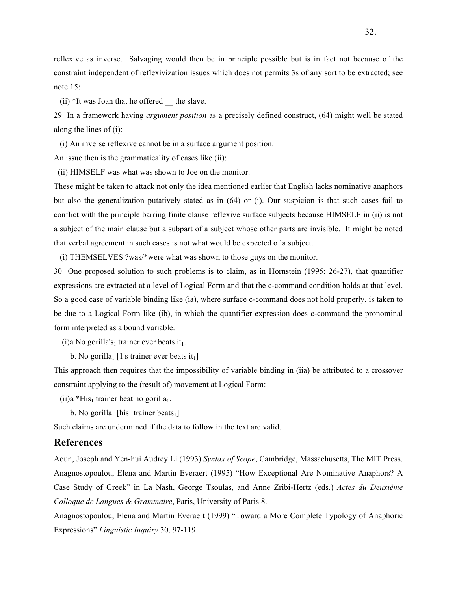reflexive as inverse. Salvaging would then be in principle possible but is in fact not because of the constraint independent of reflexivization issues which does not permits 3s of any sort to be extracted; see note 15:

 $(ii)$  \*It was Joan that he offered the slave.

29 In a framework having *argument position* as a precisely defined construct, (64) might well be stated along the lines of (i):

(i) An inverse reflexive cannot be in a surface argument position.

An issue then is the grammaticality of cases like (ii):

(ii) HIMSELF was what was shown to Joe on the monitor.

These might be taken to attack not only the idea mentioned earlier that English lacks nominative anaphors but also the generalization putatively stated as in (64) or (i). Our suspicion is that such cases fail to conflict with the principle barring finite clause reflexive surface subjects because HIMSELF in (ii) is not a subject of the main clause but a subpart of a subject whose other parts are invisible. It might be noted that verbal agreement in such cases is not what would be expected of a subject.

(i) THEMSELVES ?was/\*were what was shown to those guys on the monitor.

30 One proposed solution to such problems is to claim, as in Hornstein (1995: 26-27), that quantifier expressions are extracted at a level of Logical Form and that the c-command condition holds at that level. So a good case of variable binding like (ia), where surface c-command does not hold properly, is taken to be due to a Logical Form like (ib), in which the quantifier expression does c-command the pronominal form interpreted as a bound variable.

(i)a No gorilla's<sub>1</sub> trainer ever beats it<sub>1</sub>.

b. No gorilla<sub>1</sub> [1's trainer ever beats it<sub>1</sub>]

This approach then requires that the impossibility of variable binding in (iia) be attributed to a crossover constraint applying to the (result of) movement at Logical Form:

(ii)a \*His<sub>1</sub> trainer beat no gorilla<sub>1</sub>.

b. No gorilla<sub>1</sub> [his<sub>1</sub> trainer beats<sub>1</sub>]

Such claims are undermined if the data to follow in the text are valid.

# **References**

Aoun, Joseph and Yen-hui Audrey Li (1993) *Syntax of Scope*, Cambridge, Massachusetts, The MIT Press. Anagnostopoulou, Elena and Martin Everaert (1995) "How Exceptional Are Nominative Anaphors? A Case Study of Greek" in La Nash, George Tsoulas, and Anne Zribi-Hertz (eds.) *Actes du Deuxième Colloque de Langues & Grammaire*, Paris, University of Paris 8.

Anagnostopoulou, Elena and Martin Everaert (1999) "Toward a More Complete Typology of Anaphoric Expressions" *Linguistic Inquiry* 30, 97-119.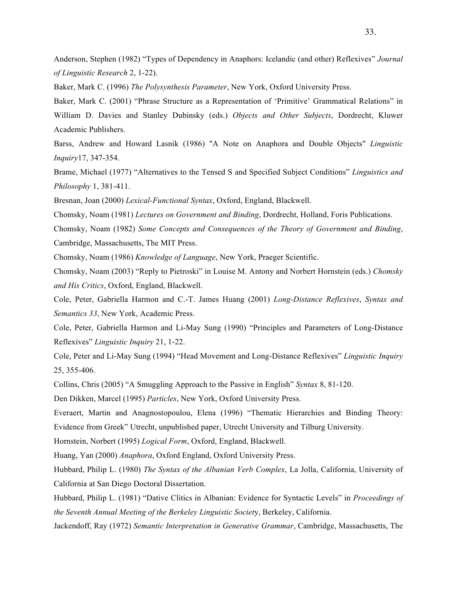Anderson, Stephen (1982) "Types of Dependency in Anaphors: Icelandic (and other) Reflexives" *Journal of Linguistic Research* 2, 1-22).

Baker, Mark C. (1996) *The Polysynthesis Parameter*, New York, Oxford University Press.

Baker, Mark C. (2001) "Phrase Structure as a Representation of 'Primitive' Grammatical Relations" in William D. Davies and Stanley Dubinsky (eds.) *Objects and Other Subjects*, Dordrecht, Kluwer Academic Publishers.

Barss, Andrew and Howard Lasnik (1986) "A Note on Anaphora and Double Objects" *Linguistic Inquiry*17, 347-354.

Brame, Michael (1977) "Alternatives to the Tensed S and Specified Subject Conditions" *Linguistics and Philosophy* 1, 381-411.

Bresnan, Joan (2000) *Lexical-Functional Syntax*, Oxford, England, Blackwell.

Chomsky, Noam (1981) *Lectures on Government and Binding*, Dordrecht, Holland, Foris Publications.

Chomsky, Noam (1982) *Some Concepts and Consequences of the Theory of Government and Binding*, Cambridge, Massachusetts, The MIT Press.

Chomsky, Noam (1986) *Knowledge of Language*, New York, Praeger Scientific.

Chomsky, Noam (2003) "Reply to Pietroski" in Louise M. Antony and Norbert Hornstein (eds.) *Chomsky and His Critics*, Oxford, England, Blackwell.

Cole, Peter, Gabriella Harmon and C.-T. James Huang (2001) *Long-Distance Reflexives*, *Syntax and Semantics 33*, New York, Academic Press.

Cole, Peter, Gabriella Harmon and Li-May Sung (1990) "Principles and Parameters of Long-Distance Reflexives" *Linguistic Inquiry* 21, 1-22.

Cole, Peter and Li-May Sung (1994) "Head Movement and Long-Distance Reflexives" *Linguistic Inquiry* 25, 355-406.

Collins, Chris (2005) "A Smuggling Approach to the Passive in English" *Syntax* 8, 81-120.

Den Dikken, Marcel (1995) *Particles*, New York, Oxford University Press.

Everaert, Martin and Anagnostopoulou, Elena (1996) "Thematic Hierarchies and Binding Theory: Evidence from Greek" Utrecht, unpublished paper, Utrecht University and Tilburg University.

Hornstein, Norbert (1995) *Logical Form*, Oxford, England, Blackwell.

Huang, Yan (2000) *Anaphora*, Oxford England, Oxford University Press.

Hubbard, Philip L. (1980) *The Syntax of the Albanian Verb Complex*, La Jolla, California, University of California at San Diego Doctoral Dissertation.

Hubbard, Philip L. (1981) "Dative Clitics in Albanian: Evidence for Syntactic Levels" in *Proceedings of the Seventh Annual Meeting of the Berkeley Linguistic Societ*y, Berkeley, California.

Jackendoff, Ray (1972) *Semantic Interpretation in Generative Grammar*, Cambridge, Massachusetts, The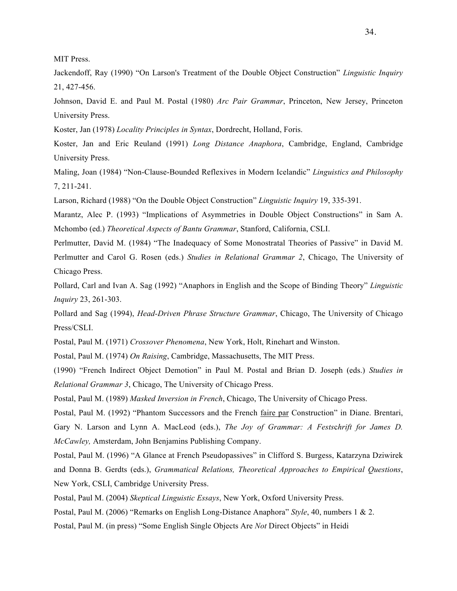MIT Press.

Jackendoff, Ray (1990) "On Larson's Treatment of the Double Object Construction" *Linguistic Inquiry* 21, 427-456.

Johnson, David E. and Paul M. Postal (1980) *Arc Pair Grammar*, Princeton, New Jersey, Princeton University Press.

Koster, Jan (1978) *Locality Principles in Syntax*, Dordrecht, Holland, Foris.

Koster, Jan and Eric Reuland (1991) *Long Distance Anaphora*, Cambridge, England, Cambridge University Press.

Maling, Joan (1984) "Non-Clause-Bounded Reflexives in Modern Icelandic" *Linguistics and Philosophy*  7, 211-241.

Larson, Richard (1988) "On the Double Object Construction" *Linguistic Inquiry* 19, 335-391.

Marantz, Alec P. (1993) "Implications of Asymmetries in Double Object Constructions" in Sam A. Mchombo (ed.) *Theoretical Aspects of Bantu Grammar*, Stanford, California, CSLI.

Perlmutter, David M. (1984) "The Inadequacy of Some Monostratal Theories of Passive" in David M. Perlmutter and Carol G. Rosen (eds.) *Studies in Relational Grammar 2*, Chicago, The University of Chicago Press.

Pollard, Carl and Ivan A. Sag (1992) "Anaphors in English and the Scope of Binding Theory" *Linguistic Inquiry* 23, 261-303.

Pollard and Sag (1994), *Head-Driven Phrase Structure Grammar*, Chicago, The University of Chicago Press/CSLI.

Postal, Paul M. (1971) *Crossover Phenomena*, New York, Holt, Rinehart and Winston.

Postal, Paul M. (1974) *On Raising*, Cambridge, Massachusetts, The MIT Press.

(1990) "French Indirect Object Demotion" in Paul M. Postal and Brian D. Joseph (eds.) *Studies in Relational Grammar 3*, Chicago, The University of Chicago Press.

Postal, Paul M. (1989) *Masked Inversion in French*, Chicago, The University of Chicago Press.

Postal, Paul M. (1992) "Phantom Successors and the French faire par Construction" in Diane. Brentari, Gary N. Larson and Lynn A. MacLeod (eds.), *The Joy of Grammar: A Fests*c*hrift for James D. McCawley,* Amsterdam, John Benjamins Publishing Company.

Postal, Paul M. (1996) "A Glance at French Pseudopassives" in Clifford S. Burgess, Katarzyna Dziwirek and Donna B. Gerdts (eds.), *Grammatical Relations, Theoretical Approaches to Empirical Questions*, New York, CSLI, Cambridge University Press.

Postal, Paul M. (2004) *Skeptical Linguistic Essays*, New York, Oxford University Press.

Postal, Paul M. (2006) "Remarks on English Long-Distance Anaphora" *Style*, 40, numbers 1 & 2.

Postal, Paul M. (in press) "Some English Single Objects Are *Not* Direct Objects" in Heidi